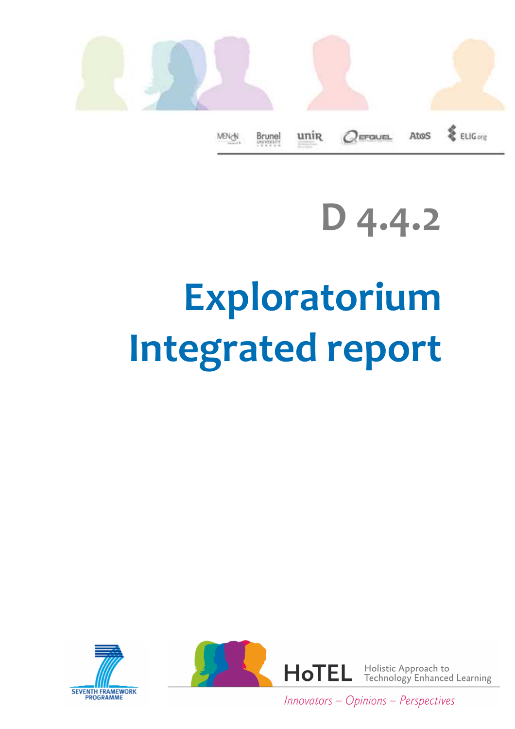

**D 4.4.2**

# **Exploratorium Integrated report**





Innovators - Opinions - Perspectives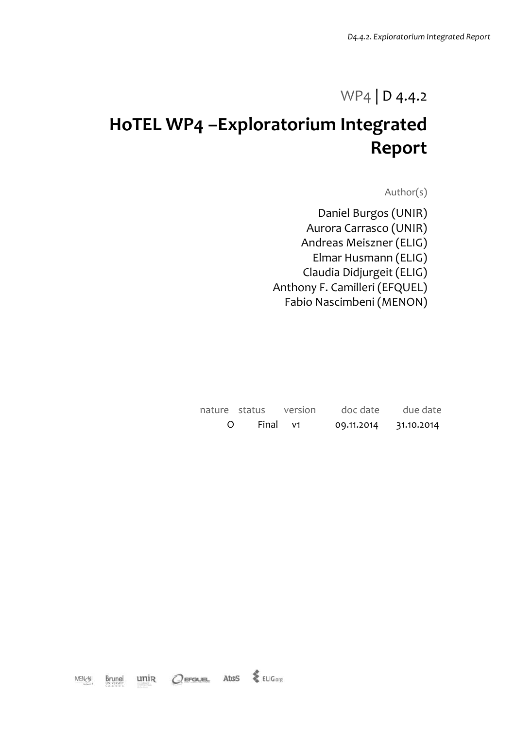### WP4 | D 4.4.2

# **HoTEL WP4 –Exploratorium Integrated Report**

Author(s)

Daniel Burgos (UNIR) Aurora Carrasco (UNIR) Andreas Meiszner (ELIG) Elmar Husmann (ELIG) Claudia Didjurgeit (ELIG) Anthony F. Camilleri (EFQUEL) Fabio Nascimbeni (MENON)

|  |  | nature status version doc date due date |  |
|--|--|-----------------------------------------|--|
|  |  | O Final v1 09.11.2014 31.10.2014        |  |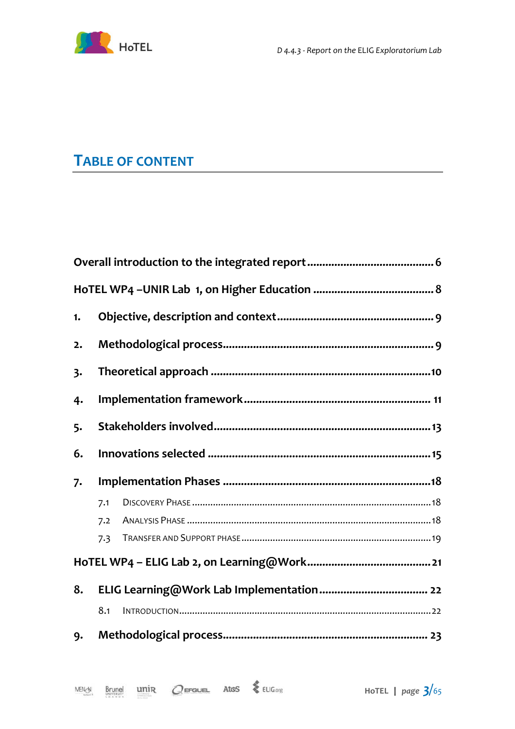

### **TABLE OF CONTENT**

| 1. |     |  |  |  |  |
|----|-----|--|--|--|--|
| 2. |     |  |  |  |  |
| 3. |     |  |  |  |  |
| 4. |     |  |  |  |  |
| 5. |     |  |  |  |  |
| 6. |     |  |  |  |  |
| 7. |     |  |  |  |  |
|    | 7.1 |  |  |  |  |
|    | 7.2 |  |  |  |  |
|    | 7.3 |  |  |  |  |
|    |     |  |  |  |  |
| 8. |     |  |  |  |  |
|    | 8.1 |  |  |  |  |
| 9. |     |  |  |  |  |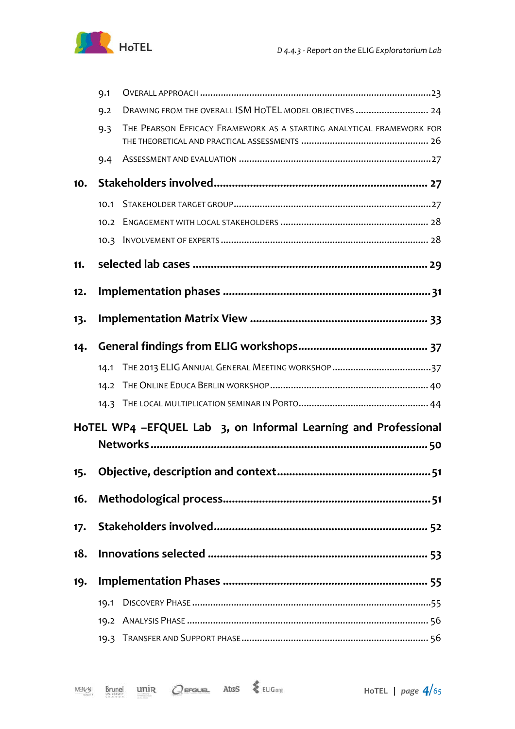

|     | 9.1  |                                                                       |  |  |  |  |
|-----|------|-----------------------------------------------------------------------|--|--|--|--|
|     | 9.2  | DRAWING FROM THE OVERALL ISM HOTEL MODEL OBJECTIVES  24               |  |  |  |  |
|     | 9.3  | THE PEARSON EFFICACY FRAMEWORK AS A STARTING ANALYTICAL FRAMEWORK FOR |  |  |  |  |
|     | 9.4  |                                                                       |  |  |  |  |
| 10. |      |                                                                       |  |  |  |  |
|     | 10.1 |                                                                       |  |  |  |  |
|     | 10.2 |                                                                       |  |  |  |  |
|     |      |                                                                       |  |  |  |  |
| 11. |      |                                                                       |  |  |  |  |
| 12. |      |                                                                       |  |  |  |  |
| 13. |      |                                                                       |  |  |  |  |
| 14. |      |                                                                       |  |  |  |  |
|     |      |                                                                       |  |  |  |  |
|     | 14.2 |                                                                       |  |  |  |  |
|     |      |                                                                       |  |  |  |  |
|     |      | HoTEL WP4 -EFQUEL Lab 3, on Informal Learning and Professional        |  |  |  |  |
|     |      |                                                                       |  |  |  |  |
| 15. |      |                                                                       |  |  |  |  |
|     |      |                                                                       |  |  |  |  |
|     |      |                                                                       |  |  |  |  |
| 18. |      |                                                                       |  |  |  |  |
| 19. |      |                                                                       |  |  |  |  |
|     |      |                                                                       |  |  |  |  |
|     |      |                                                                       |  |  |  |  |
|     |      |                                                                       |  |  |  |  |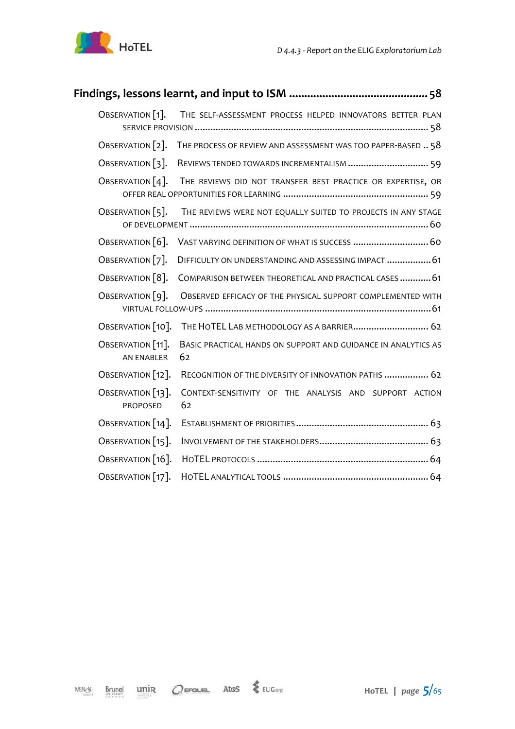

| OBSERVATION [1].<br>THE SELF-ASSESSMENT PROCESS HELPED INNOVATORS BETTER PLAN                          |  |
|--------------------------------------------------------------------------------------------------------|--|
| OBSERVATION [2]. THE PROCESS OF REVIEW AND ASSESSMENT WAS TOO PAPER-BASED  58                          |  |
| OBSERVATION [3].<br>REVIEWS TENDED TOWARDS INCREMENTALISM  59                                          |  |
| OBSERVATION $[4]$ .<br>THE REVIEWS DID NOT TRANSFER BEST PRACTICE OR EXPERTISE, OR                     |  |
| THE REVIEWS WERE NOT EQUALLY SUITED TO PROJECTS IN ANY STAGE<br>OBSERVATION $[5]$ .                    |  |
| OBSERVATION [6].<br>VAST VARYING DEFINITION OF WHAT IS SUCCESS  60                                     |  |
| OBSERVATION [7].<br>DIFFICULTY ON UNDERSTANDING AND ASSESSING IMPACT  61                               |  |
| OBSERVATION [8].<br>COMPARISON BETWEEN THEORETICAL AND PRACTICAL CASES  61                             |  |
| OBSERVATION [9].<br>OBSERVED EFFICACY OF THE PHYSICAL SUPPORT COMPLEMENTED WITH                        |  |
| OBSERVATION [10].<br>THE HOTEL LAB METHODOLOGY AS A BARRIER 62                                         |  |
| OBSERVATION [11].<br>BASIC PRACTICAL HANDS ON SUPPORT AND GUIDANCE IN ANALYTICS AS<br>62<br>AN ENABLER |  |
| OBSERVATION [12].<br>RECOGNITION OF THE DIVERSITY OF INNOVATION PATHS  62                              |  |
| OBSERVATION [13].<br>CONTEXT-SENSITIVITY OF THE ANALYSIS AND SUPPORT ACTION<br>62<br>PROPOSED          |  |
| OBSERVATION [14].                                                                                      |  |
| OBSERVATION [15].                                                                                      |  |
| OBSERVATION [16].                                                                                      |  |
| OBSERVATION [17].                                                                                      |  |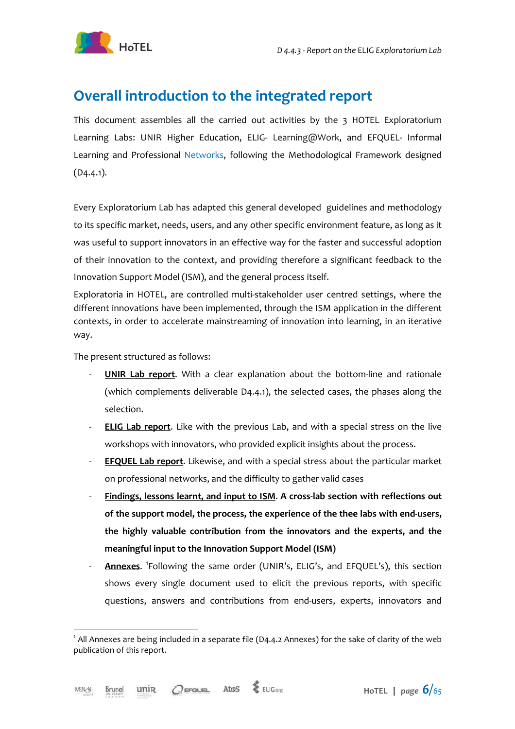

### **Overall introduction to the integrated report**

This document assembles all the carried out activities by the 3 HOTEL Exploratorium Learning Labs: UNIR Higher Education, ELIG- Learning@Work, and EFQUEL- Informal Learning and Professional Networks, following the Methodological Framework designed (D4.4.1).

Every Exploratorium Lab has adapted this general developed guidelines and methodology to its specific market, needs, users, and any other specific environment feature, as long as it was useful to support innovators in an effective way for the faster and successful adoption of their innovation to the context, and providing therefore a significant feedback to the Innovation Support Model (ISM), and the general process itself.

Exploratoria in HOTEL, are controlled multi-stakeholder user centred settings, where the different innovations have been implemented, through the ISM application in the different contexts, in order to accelerate mainstreaming of innovation into learning, in an iterative way.

The present structured as follows:

- **UNIR Lab report.** With a clear explanation about the bottom-line and rationale (which complements deliverable D4.4.1), the selected cases, the phases along the selection.
- **ELIG Lab report**. Like with the previous Lab, and with a special stress on the live workshops with innovators, who provided explicit insights about the process.
- **EFQUEL Lab report**. Likewise, and with a special stress about the particular market on professional networks, and the difficulty to gather valid cases
- **Findings, lessons learnt, and input to ISM**. **A cross-lab section with reflections out of the support model, the process, the experience of the thee labs with end-users, the highly valuable contribution from the innovators and the experts, and the meaningful input to the Innovation Support Model (ISM)**
- **Annexes**. <sup>1</sup>Following the same order (UNIR's, ELIG's, and EFQUEL's), this section shows every single document used to elicit the previous reports, with specific questions, answers and contributions from end-users, experts, innovators and

 $\overline{a}$ 

 $^1$  All Annexes are being included in a separate file (D4.4.2 Annexes) for the sake of clarity of the web publication of this report.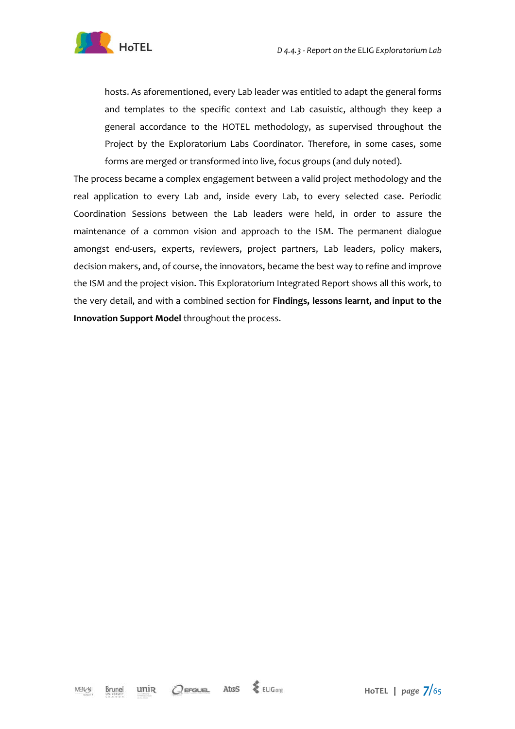

hosts. As aforementioned, every Lab leader was entitled to adapt the general forms and templates to the specific context and Lab casuistic, although they keep a general accordance to the HOTEL methodology, as supervised throughout the Project by the Exploratorium Labs Coordinator. Therefore, in some cases, some forms are merged or transformed into live, focus groups (and duly noted).

The process became a complex engagement between a valid project methodology and the real application to every Lab and, inside every Lab, to every selected case. Periodic Coordination Sessions between the Lab leaders were held, in order to assure the maintenance of a common vision and approach to the ISM. The permanent dialogue amongst end-users, experts, reviewers, project partners, Lab leaders, policy makers, decision makers, and, of course, the innovators, became the best way to refine and improve the ISM and the project vision. This Exploratorium Integrated Report shows all this work, to the very detail, and with a combined section for **Findings, lessons learnt, and input to the Innovation Support Model** throughout the process.

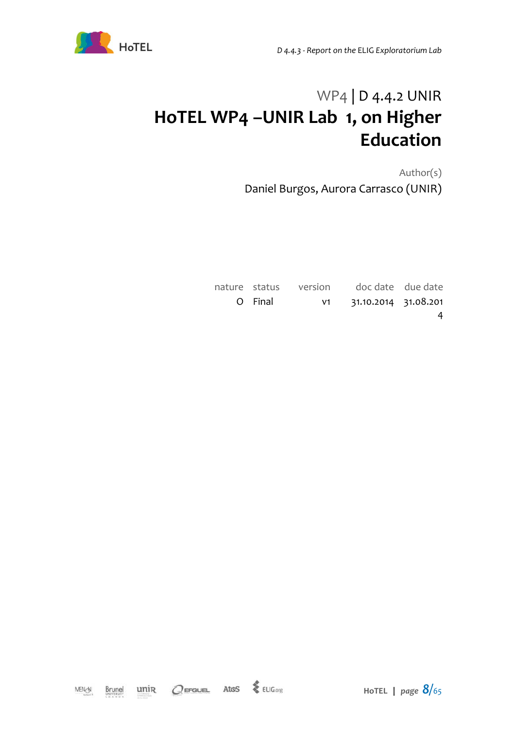



# WP4 | D 4.4.2 UNIR **HoTEL WP4 –UNIR Lab 1, on Higher Education**

Author(s) Daniel Burgos, Aurora Carrasco (UNIR)

|         | nature status version doc date due date |   |
|---------|-----------------------------------------|---|
| O Final | v1 31.10.2014 31.08.201                 |   |
|         |                                         | 4 |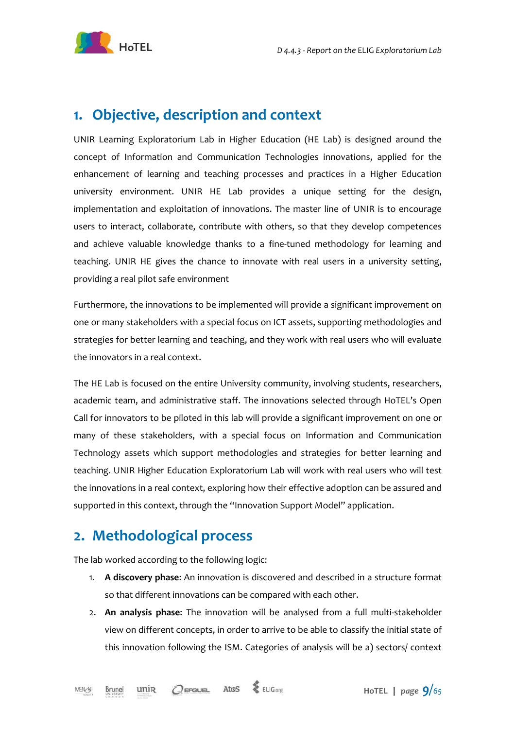

### **1. Objective, description and context**

UNIR Learning Exploratorium Lab in Higher Education (HE Lab) is designed around the concept of Information and Communication Technologies innovations, applied for the enhancement of learning and teaching processes and practices in a Higher Education university environment. UNIR HE Lab provides a unique setting for the design, implementation and exploitation of innovations. The master line of UNIR is to encourage users to interact, collaborate, contribute with others, so that they develop competences and achieve valuable knowledge thanks to a fine-tuned methodology for learning and teaching. UNIR HE gives the chance to innovate with real users in a university setting, providing a real pilot safe environment

Furthermore, the innovations to be implemented will provide a significant improvement on one or many stakeholders with a special focus on ICT assets, supporting methodologies and strategies for better learning and teaching, and they work with real users who will evaluate the innovators in a real context.

The HE Lab is focused on the entire University community, involving students, researchers, academic team, and administrative staff. The innovations selected through HoTEL's Open Call for innovators to be piloted in this lab will provide a significant improvement on one or many of these stakeholders, with a special focus on Information and Communication Technology assets which support methodologies and strategies for better learning and teaching. UNIR Higher Education Exploratorium Lab will work with real users who will test the innovations in a real context, exploring how their effective adoption can be assured and supported in this context, through the "Innovation Support Model" application.

### **2. Methodological process**

The lab worked according to the following logic:

- 1. **A discovery phase**: An innovation is discovered and described in a structure format so that different innovations can be compared with each other.
- 2. **An analysis phase**: The innovation will be analysed from a full multi-stakeholder view on different concepts, in order to arrive to be able to classify the initial state of this innovation following the ISM. Categories of analysis will be a) sectors/ context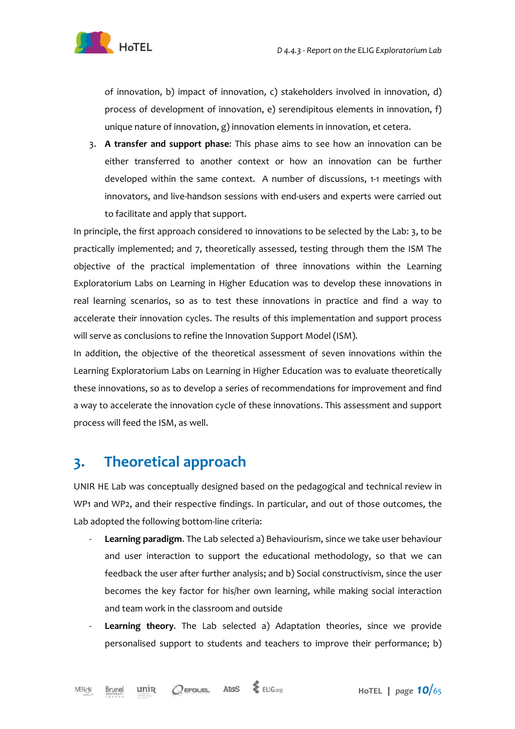

of innovation, b) impact of innovation, c) stakeholders involved in innovation, d) process of development of innovation, e) serendipitous elements in innovation, f) unique nature of innovation, g) innovation elements in innovation, et cetera.

3. **A transfer and support phase**: This phase aims to see how an innovation can be either transferred to another context or how an innovation can be further developed within the same context. A number of discussions, 1-1 meetings with innovators, and live-handson sessions with end-users and experts were carried out to facilitate and apply that support.

In principle, the first approach considered 10 innovations to be selected by the Lab: 3, to be practically implemented; and 7, theoretically assessed, testing through them the ISM The objective of the practical implementation of three innovations within the Learning Exploratorium Labs on Learning in Higher Education was to develop these innovations in real learning scenarios, so as to test these innovations in practice and find a way to accelerate their innovation cycles. The results of this implementation and support process will serve as conclusions to refine the Innovation Support Model (ISM).

In addition, the objective of the theoretical assessment of seven innovations within the Learning Exploratorium Labs on Learning in Higher Education was to evaluate theoretically these innovations, so as to develop a series of recommendations for improvement and find a way to accelerate the innovation cycle of these innovations. This assessment and support process will feed the ISM, as well.

### **3. Theoretical approach**

UNIR HE Lab was conceptually designed based on the pedagogical and technical review in WP1 and WP2, and their respective findings. In particular, and out of those outcomes, the Lab adopted the following bottom-line criteria:

- Learning paradigm. The Lab selected a) Behaviourism, since we take user behaviour and user interaction to support the educational methodology, so that we can feedback the user after further analysis; and b) Social constructivism, since the user becomes the key factor for his/her own learning, while making social interaction and team work in the classroom and outside
- Learning theory. The Lab selected a) Adaptation theories, since we provide personalised support to students and teachers to improve their performance; b)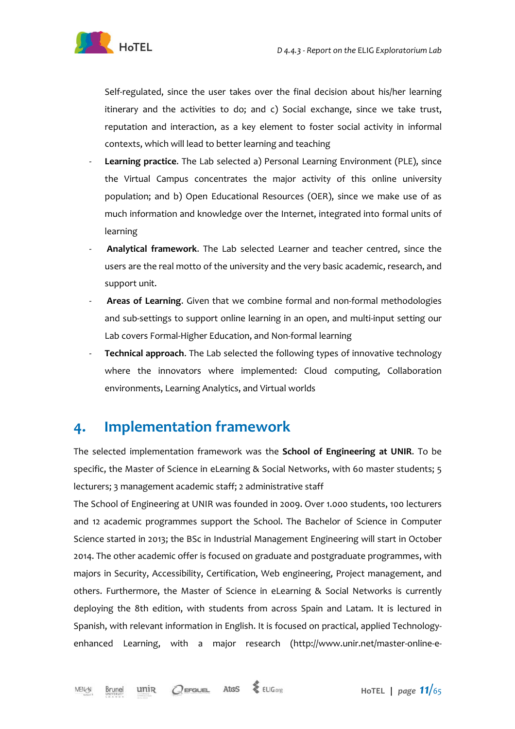

Self-regulated, since the user takes over the final decision about his/her learning itinerary and the activities to do; and c) Social exchange, since we take trust, reputation and interaction, as a key element to foster social activity in informal contexts, which will lead to better learning and teaching

- Learning practice. The Lab selected a) Personal Learning Environment (PLE), since the Virtual Campus concentrates the major activity of this online university population; and b) Open Educational Resources (OER), since we make use of as much information and knowledge over the Internet, integrated into formal units of learning
- **Analytical framework**. The Lab selected Learner and teacher centred, since the users are the real motto of the university and the very basic academic, research, and support unit.
- **Areas of Learning**. Given that we combine formal and non-formal methodologies and sub-settings to support online learning in an open, and multi-input setting our Lab covers Formal-Higher Education, and Non-formal learning
- **Technical approach.** The Lab selected the following types of innovative technology where the innovators where implemented: Cloud computing, Collaboration environments, Learning Analytics, and Virtual worlds

### **4. Implementation framework**

The selected implementation framework was the **School of Engineering at UNIR**. To be specific, the Master of Science in eLearning & Social Networks, with 60 master students; 5 lecturers; 3 management academic staff; 2 administrative staff

The School of Engineering at UNIR was founded in 2009. Over 1.000 students, 100 lecturers and 12 academic programmes support the School. The Bachelor of Science in Computer Science started in 2013; the BSc in Industrial Management Engineering will start in October 2014. The other academic offer is focused on graduate and postgraduate programmes, with majors in Security, Accessibility, Certification, Web engineering, Project management, and others. Furthermore, the Master of Science in eLearning & Social Networks is currently deploying the 8th edition, with students from across Spain and Latam. It is lectured in Spanish, with relevant information in English. It is focused on practical, applied Technologyenhanced Learning, with a major research (http://www.unir.net/master-online-e-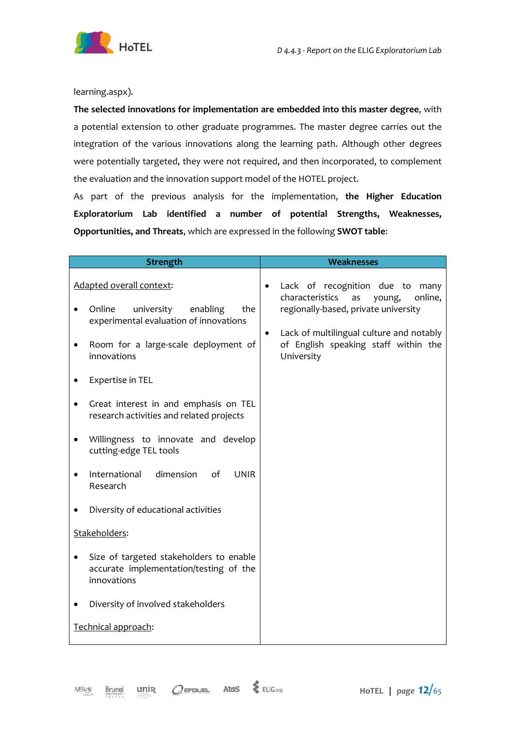

learning.aspx).

**The selected innovations for implementation are embedded into this master degree**, with a potential extension to other graduate programmes. The master degree carries out the integration of the various innovations along the learning path. Although other degrees were potentially targeted, they were not required, and then incorporated, to complement the evaluation and the innovation support model of the HOTEL project.

As part of the previous analysis for the implementation, **the Higher Education Exploratorium Lab identified a number of potential Strengths, Weaknesses, Opportunities, and Threats**, which are expressed in the following **SWOT table**:

| <b>Strength</b>                                                                                                                                                      | <b>Weaknesses</b>                                                                                                                                                                                                                         |
|----------------------------------------------------------------------------------------------------------------------------------------------------------------------|-------------------------------------------------------------------------------------------------------------------------------------------------------------------------------------------------------------------------------------------|
| Adapted overall context:<br>Online<br>university<br>enabling<br>the<br>experimental evaluation of innovations<br>Room for a large-scale deployment of<br>innovations | Lack of recognition due to many<br>٠<br>characteristics<br>online,<br>as<br>young,<br>regionally-based, private university<br>Lack of multilingual culture and notably<br>$\bullet$<br>of English speaking staff within the<br>University |
| Expertise in TEL                                                                                                                                                     |                                                                                                                                                                                                                                           |
| Great interest in and emphasis on TEL<br>research activities and related projects                                                                                    |                                                                                                                                                                                                                                           |
| Willingness to innovate and develop<br>cutting-edge TEL tools                                                                                                        |                                                                                                                                                                                                                                           |
| dimension<br>International<br><b>UNIR</b><br>of<br>Research                                                                                                          |                                                                                                                                                                                                                                           |
| Diversity of educational activities                                                                                                                                  |                                                                                                                                                                                                                                           |
| Stakeholders:                                                                                                                                                        |                                                                                                                                                                                                                                           |
| Size of targeted stakeholders to enable<br>accurate implementation/testing of the<br>innovations                                                                     |                                                                                                                                                                                                                                           |
| Diversity of involved stakeholders                                                                                                                                   |                                                                                                                                                                                                                                           |
| Technical approach:                                                                                                                                                  |                                                                                                                                                                                                                                           |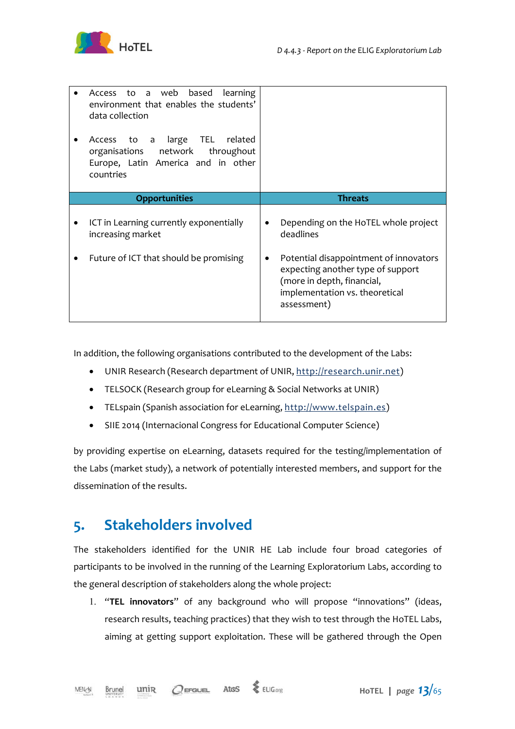

| Access to a web based<br><b>learning</b><br>environment that enables the students'<br>data collection<br>Access to a large TEL related<br>organisations network<br>throughout<br>Europe, Latin America and in other<br>countries |                                                                                                                                                            |
|----------------------------------------------------------------------------------------------------------------------------------------------------------------------------------------------------------------------------------|------------------------------------------------------------------------------------------------------------------------------------------------------------|
| <b>Opportunities</b>                                                                                                                                                                                                             | <b>Threats</b>                                                                                                                                             |
| ICT in Learning currently exponentially<br>increasing market                                                                                                                                                                     | Depending on the HoTEL whole project<br>deadlines                                                                                                          |
| Future of ICT that should be promising                                                                                                                                                                                           | Potential disappointment of innovators<br>expecting another type of support<br>(more in depth, financial,<br>implementation vs. theoretical<br>assessment) |

In addition, the following organisations contributed to the development of the Labs:

- UNIR Research (Research department of UNIR, http://research.unir.net)
- TELSOCK (Research group for eLearning & Social Networks at UNIR)
- TELspain (Spanish association for eLearning, http://www.telspain.es)
- SIIE 2014 (Internacional Congress for Educational Computer Science)

by providing expertise on eLearning, datasets required for the testing/implementation of the Labs (market study), a network of potentially interested members, and support for the dissemination of the results.

### **5. Stakeholders involved**

The stakeholders identified for the UNIR HE Lab include four broad categories of participants to be involved in the running of the Learning Exploratorium Labs, according to the general description of stakeholders along the whole project:

1. "**TEL innovators**" of any background who will propose "innovations" (ideas, research results, teaching practices) that they wish to test through the HoTEL Labs, aiming at getting support exploitation. These will be gathered through the Open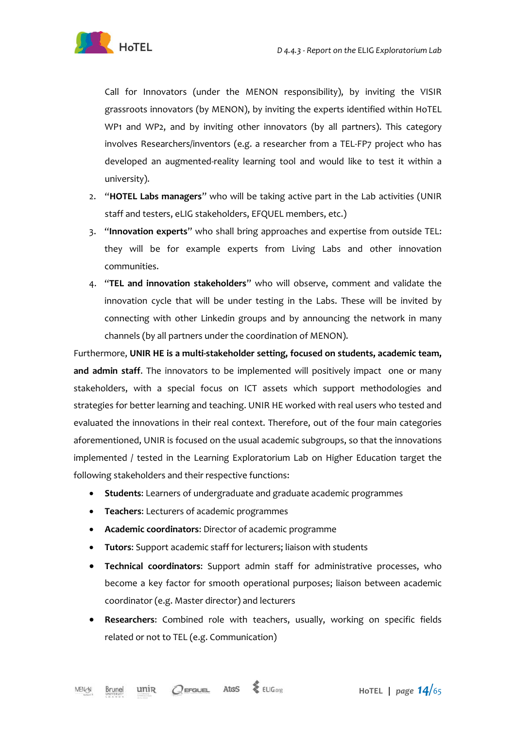

Call for Innovators (under the MENON responsibility), by inviting the VISIR grassroots innovators (by MENON), by inviting the experts identified within HoTEL WP1 and WP2, and by inviting other innovators (by all partners). This category involves Researchers/inventors (e.g. a researcher from a TEL-FP7 project who has developed an augmented-reality learning tool and would like to test it within a university).

- 2. "**HOTEL Labs managers**" who will be taking active part in the Lab activities (UNIR staff and testers, eLIG stakeholders, EFQUEL members, etc.)
- 3. "**Innovation experts**" who shall bring approaches and expertise from outside TEL: they will be for example experts from Living Labs and other innovation communities.
- 4. "**TEL and innovation stakeholders**" who will observe, comment and validate the innovation cycle that will be under testing in the Labs. These will be invited by connecting with other Linkedin groups and by announcing the network in many channels (by all partners under the coordination of MENON).

Furthermore, **UNIR HE is a multi-stakeholder setting, focused on students, academic team,**  and admin staff. The innovators to be implemented will positively impact one or many stakeholders, with a special focus on ICT assets which support methodologies and strategies for better learning and teaching. UNIR HE worked with real users who tested and evaluated the innovations in their real context. Therefore, out of the four main categories aforementioned, UNIR is focused on the usual academic subgroups, so that the innovations implemented / tested in the Learning Exploratorium Lab on Higher Education target the following stakeholders and their respective functions:

- **Students**: Learners of undergraduate and graduate academic programmes
- **Teachers**: Lecturers of academic programmes
- **Academic coordinators**: Director of academic programme
- **Tutors**: Support academic staff for lecturers; liaison with students
- **Technical coordinators**: Support admin staff for administrative processes, who become a key factor for smooth operational purposes; liaison between academic coordinator (e.g. Master director) and lecturers
- **Researchers**: Combined role with teachers, usually, working on specific fields related or not to TEL (e.g. Communication)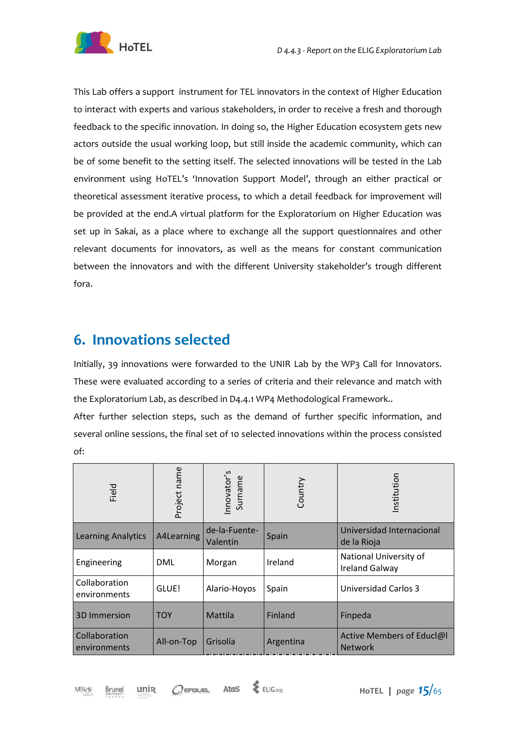

This Lab offers a support instrument for TEL innovators in the context of Higher Education to interact with experts and various stakeholders, in order to receive a fresh and thorough feedback to the specific innovation. In doing so, the Higher Education ecosystem gets new actors outside the usual working loop, but still inside the academic community, which can be of some benefit to the setting itself. The selected innovations will be tested in the Lab environment using HoTEL's 'Innovation Support Model', through an either practical or theoretical assessment iterative process, to which a detail feedback for improvement will be provided at the end.A virtual platform for the Exploratorium on Higher Education was set up in Sakai, as a place where to exchange all the support questionnaires and other relevant documents for innovators, as well as the means for constant communication between the innovators and with the different University stakeholder's trough different fora.

### **6. Innovations selected**

Initially, 39 innovations were forwarded to the UNIR Lab by the WP3 Call for Innovators. These were evaluated according to a series of criteria and their relevance and match with the Exploratorium Lab, as described in D4.4.1 WP4 Methodological Framework..

After further selection steps, such as the demand of further specific information, and several online sessions, the final set of 10 selected innovations within the process consisted of:

| Field                         | Project name | nnovator's<br>Surname     | Country   | nstitution                                      |
|-------------------------------|--------------|---------------------------|-----------|-------------------------------------------------|
| <b>Learning Analytics</b>     | A4Learning   | de-la-Fuente-<br>Valentín | Spain     | Universidad Internacional<br>de la Rioja        |
| Engineering                   | DML          | Morgan                    | Ireland   | National University of<br><b>Ireland Galway</b> |
| Collaboration<br>environments | GLUE!        | Alario-Hoyos              | Spain     | Universidad Carlos 3                            |
| <b>3D Immersion</b>           | <b>TOY</b>   | Mattila                   | Finland   | Finpeda                                         |
| Collaboration<br>environments | All-on-Top   | Grisolía                  | Argentina | Active Members of Educl@I<br><b>Network</b>     |

unip

Atos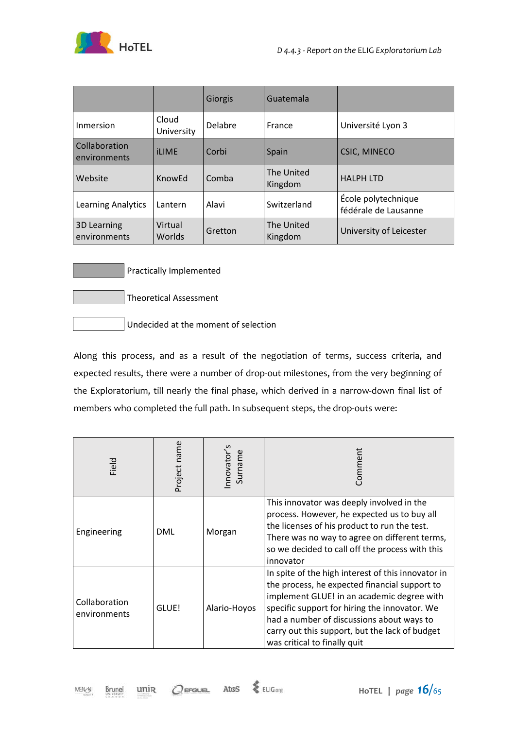

|                               |                     | Giorgis | Guatemala             |                                             |
|-------------------------------|---------------------|---------|-----------------------|---------------------------------------------|
| Inmersion                     | Cloud<br>University | Delabre | France                | Université Lyon 3                           |
| Collaboration<br>environments | <b>iLIME</b>        | Corbi   | Spain                 | <b>CSIC, MINECO</b>                         |
| Website                       | Know <sub>Fd</sub>  | Comba   | The United<br>Kingdom | <b>HALPH LTD</b>                            |
| Learning Analytics            | Lantern             | Alavi   | Switzerland           | École polytechnique<br>fédérale de Lausanne |
| 3D Learning<br>environments   | Virtual<br>Worlds   | Gretton | The United<br>Kingdom | University of Leicester                     |

Practically Implemented

Theoretical Assessment

Undecided at the moment of selection

Along this process, and as a result of the negotiation of terms, success criteria, and expected results, there were a number of drop-out milestones, from the very beginning of the Exploratorium, till nearly the final phase, which derived in a narrow-down final list of members who completed the full path. In subsequent steps, the drop-outs were:

| Field                         | Project name | nnovator's<br>Surname | Comment                                                                                                                                                                                                                                                                                                                           |
|-------------------------------|--------------|-----------------------|-----------------------------------------------------------------------------------------------------------------------------------------------------------------------------------------------------------------------------------------------------------------------------------------------------------------------------------|
| Engineering                   | DML          | Morgan                | This innovator was deeply involved in the<br>process. However, he expected us to buy all<br>the licenses of his product to run the test.<br>There was no way to agree on different terms,<br>so we decided to call off the process with this<br>innovator                                                                         |
| Collaboration<br>environments | GLUE!        | Alario-Hoyos          | In spite of the high interest of this innovator in<br>the process, he expected financial support to<br>implement GLUE! in an academic degree with<br>specific support for hiring the innovator. We<br>had a number of discussions about ways to<br>carry out this support, but the lack of budget<br>was critical to finally quit |

 $\text{MEN} \text{-}\!\!\!\!\circledcirc\!\!\!\!\circledcirc$ Brunel unin

 $Q$  EFGUEL Atos & ELIG.org

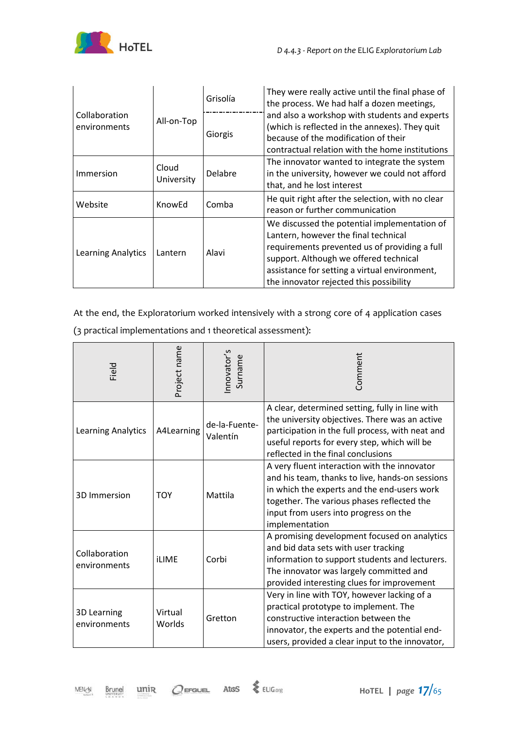

| Collaboration<br>environments |                     | Grisolía | They were really active until the final phase of<br>the process. We had half a dozen meetings,                                                                                                                                                                              |  |
|-------------------------------|---------------------|----------|-----------------------------------------------------------------------------------------------------------------------------------------------------------------------------------------------------------------------------------------------------------------------------|--|
|                               | All-on-Top          | Giorgis  | and also a workshop with students and experts<br>(which is reflected in the annexes). They quit<br>because of the modification of their<br>contractual relation with the home institutions                                                                                  |  |
| Immersion                     | Cloud<br>University | Delabre  | The innovator wanted to integrate the system<br>in the university, however we could not afford<br>that, and he lost interest                                                                                                                                                |  |
| Website                       | KnowEd              | Comba    | He quit right after the selection, with no clear<br>reason or further communication                                                                                                                                                                                         |  |
| Learning Analytics            | Lantern             | Alavi    | We discussed the potential implementation of<br>Lantern, however the final technical<br>requirements prevented us of providing a full<br>support. Although we offered technical<br>assistance for setting a virtual environment,<br>the innovator rejected this possibility |  |

At the end, the Exploratorium worked intensively with a strong core of 4 application cases (3 practical implementations and 1 theoretical assessment):

| Field                              | Project name      | nnovator's<br>Surname     | Comment                                                                                                                                                                                                                                                 |
|------------------------------------|-------------------|---------------------------|---------------------------------------------------------------------------------------------------------------------------------------------------------------------------------------------------------------------------------------------------------|
| Learning Analytics                 | A4Learning        | de-la-Fuente-<br>Valentín | A clear, determined setting, fully in line with<br>the university objectives. There was an active<br>participation in the full process, with neat and<br>useful reports for every step, which will be<br>reflected in the final conclusions             |
| 3D Immersion                       | <b>TOY</b>        | Mattila                   | A very fluent interaction with the innovator<br>and his team, thanks to live, hands-on sessions<br>in which the experts and the end-users work<br>together. The various phases reflected the<br>input from users into progress on the<br>implementation |
| Collaboration<br>environments      | <b>iLIME</b>      | Corbi                     | A promising development focused on analytics<br>and bid data sets with user tracking<br>information to support students and lecturers.<br>The innovator was largely committed and<br>provided interesting clues for improvement                         |
| <b>3D Learning</b><br>environments | Virtual<br>Worlds | Gretton                   | Very in line with TOY, however lacking of a<br>practical prototype to implement. The<br>constructive interaction between the<br>innovator, the experts and the potential end-<br>users, provided a clear input to the innovator,                        |

MENGN

Brunel

unin

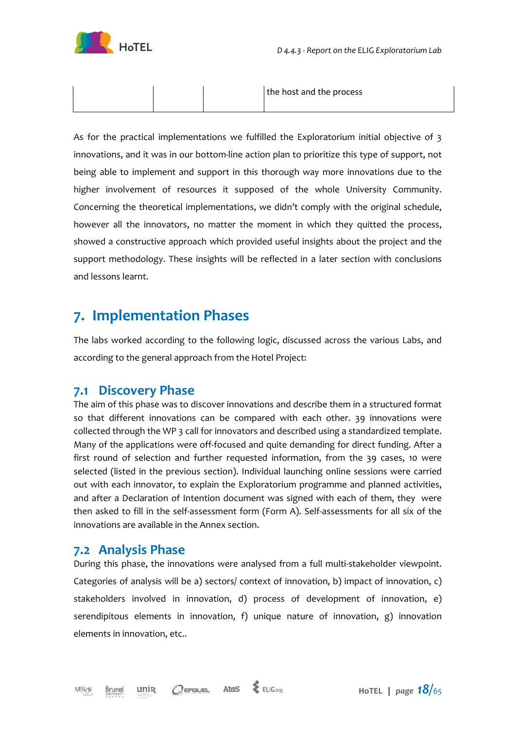

|  | the host and the process |
|--|--------------------------|
|--|--------------------------|

As for the practical implementations we fulfilled the Exploratorium initial objective of 3 innovations, and it was in our bottom-line action plan to prioritize this type of support, not being able to implement and support in this thorough way more innovations due to the higher involvement of resources it supposed of the whole University Community. Concerning the theoretical implementations, we didn't comply with the original schedule, however all the innovators, no matter the moment in which they quitted the process, showed a constructive approach which provided useful insights about the project and the support methodology. These insights will be reflected in a later section with conclusions and lessons learnt.

### **7. Implementation Phases**

The labs worked according to the following logic, discussed across the various Labs, and according to the general approach from the Hotel Project:

### **7.1 Discovery Phase**

The aim of this phase was to discover innovations and describe them in a structured format so that different innovations can be compared with each other. 39 innovations were collected through the WP 3 call for innovators and described using a standardized template. Many of the applications were off-focused and quite demanding for direct funding. After a first round of selection and further requested information, from the 39 cases, 10 were selected (listed in the previous section). Individual launching online sessions were carried out with each innovator, to explain the Exploratorium programme and planned activities, and after a Declaration of Intention document was signed with each of them, they were then asked to fill in the self-assessment form (Form A). Self-assessments for all six of the innovations are available in the Annex section.

### **7.2 Analysis Phase**

During this phase, the innovations were analysed from a full multi-stakeholder viewpoint. Categories of analysis will be a) sectors/ context of innovation, b) impact of innovation, c) stakeholders involved in innovation, d) process of development of innovation, e) serendipitous elements in innovation, f) unique nature of innovation, g) innovation elements in innovation, etc..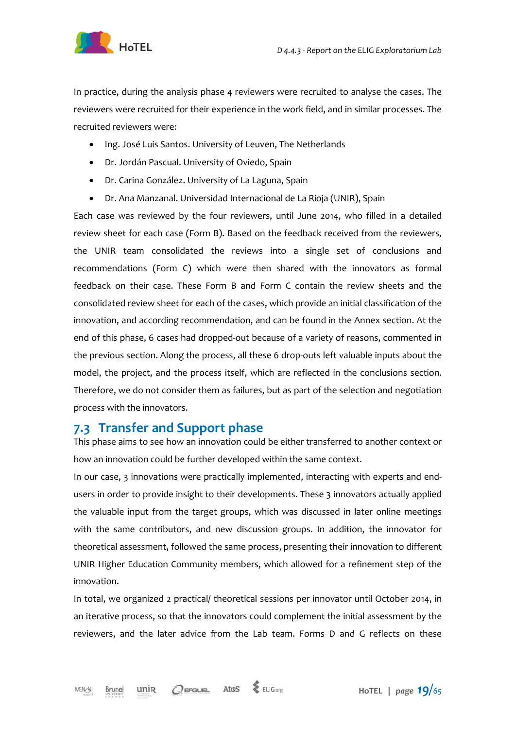

In practice, during the analysis phase 4 reviewers were recruited to analyse the cases. The reviewers were recruited for their experience in the work field, and in similar processes. The recruited reviewers were:

- Ing. José Luis Santos. University of Leuven, The Netherlands
- Dr. Jordán Pascual. University of Oviedo, Spain
- Dr. Carina González. University of La Laguna, Spain
- Dr. Ana Manzanal. Universidad Internacional de La Rioja (UNIR), Spain

Each case was reviewed by the four reviewers, until June 2014, who filled in a detailed review sheet for each case (Form B). Based on the feedback received from the reviewers, the UNIR team consolidated the reviews into a single set of conclusions and recommendations (Form C) which were then shared with the innovators as formal feedback on their case. These Form B and Form C contain the review sheets and the consolidated review sheet for each of the cases, which provide an initial classification of the innovation, and according recommendation, and can be found in the Annex section. At the end of this phase, 6 cases had dropped-out because of a variety of reasons, commented in the previous section. Along the process, all these 6 drop-outs left valuable inputs about the model, the project, and the process itself, which are reflected in the conclusions section. Therefore, we do not consider them as failures, but as part of the selection and negotiation process with the innovators.

#### **7.3 Transfer and Support phase**

This phase aims to see how an innovation could be either transferred to another context or how an innovation could be further developed within the same context.

In our case, 3 innovations were practically implemented, interacting with experts and endusers in order to provide insight to their developments. These 3 innovators actually applied the valuable input from the target groups, which was discussed in later online meetings with the same contributors, and new discussion groups. In addition, the innovator for theoretical assessment, followed the same process, presenting their innovation to different UNIR Higher Education Community members, which allowed for a refinement step of the innovation.

In total, we organized 2 practical/ theoretical sessions per innovator until October 2014, in an iterative process, so that the innovators could complement the initial assessment by the reviewers, and the later advice from the Lab team. Forms D and G reflects on these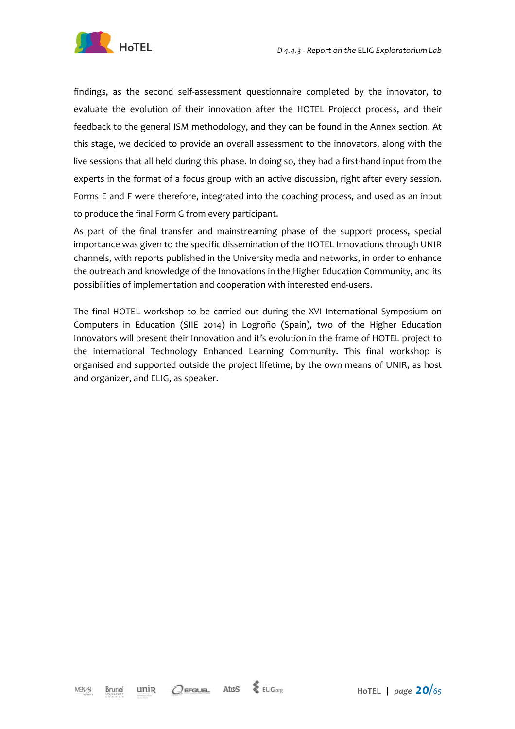

findings, as the second self-assessment questionnaire completed by the innovator, to evaluate the evolution of their innovation after the HOTEL Projecct process, and their feedback to the general ISM methodology, and they can be found in the Annex section. At this stage, we decided to provide an overall assessment to the innovators, along with the live sessions that all held during this phase. In doing so, they had a first-hand input from the experts in the format of a focus group with an active discussion, right after every session. Forms E and F were therefore, integrated into the coaching process, and used as an input to produce the final Form G from every participant.

As part of the final transfer and mainstreaming phase of the support process, special importance was given to the specific dissemination of the HOTEL Innovations through UNIR channels, with reports published in the University media and networks, in order to enhance the outreach and knowledge of the Innovations in the Higher Education Community, and its possibilities of implementation and cooperation with interested end-users.

The final HOTEL workshop to be carried out during the XVI International Symposium on Computers in Education (SIIE 2014) in Logroño (Spain), two of the Higher Education Innovators will present their Innovation and it's evolution in the frame of HOTEL project to the international Technology Enhanced Learning Community. This final workshop is organised and supported outside the project lifetime, by the own means of UNIR, as host and organizer, and ELIG, as speaker.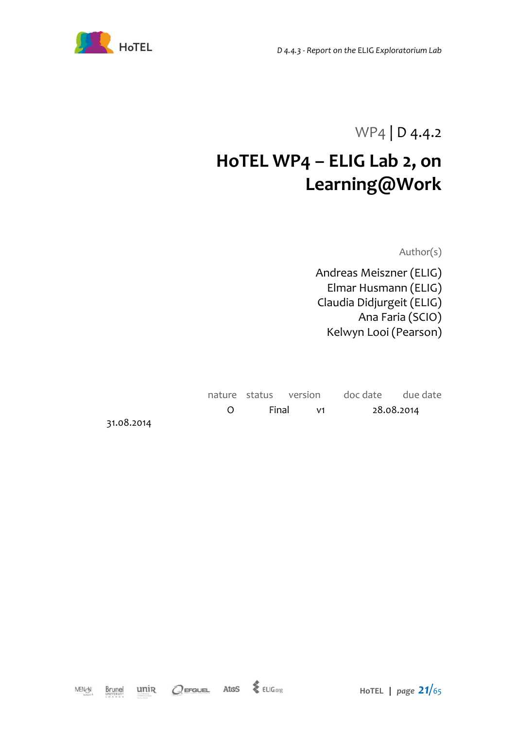

WP4 | D 4.4.2

# **HoTEL WP4 – ELIG Lab 2, on Learning@Work**

Author(s)

Andreas Meiszner (ELIG) Elmar Husmann (ELIG) Claudia Didjurgeit (ELIG) Ana Faria (SCIO) Kelwyn Looi (Pearson)

|  |            |  | nature status version doc date due date |            |
|--|------------|--|-----------------------------------------|------------|
|  | O Final v1 |  |                                         | 28.08.2014 |

31.08.2014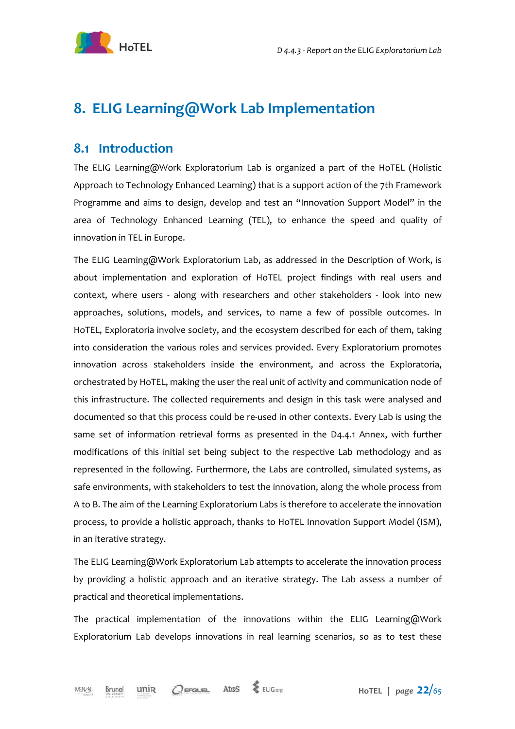

### **8. ELIG Learning@Work Lab Implementation**

#### **8.1 Introduction**

The ELIG Learning@Work Exploratorium Lab is organized a part of the HoTEL (Holistic Approach to Technology Enhanced Learning) that is a support action of the 7th Framework Programme and aims to design, develop and test an "Innovation Support Model" in the area of Technology Enhanced Learning (TEL), to enhance the speed and quality of innovation in TEL in Europe.

The ELIG Learning@Work Exploratorium Lab, as addressed in the Description of Work, is about implementation and exploration of HoTEL project findings with real users and context, where users - along with researchers and other stakeholders - look into new approaches, solutions, models, and services, to name a few of possible outcomes. In HoTEL, Exploratoria involve society, and the ecosystem described for each of them, taking into consideration the various roles and services provided. Every Exploratorium promotes innovation across stakeholders inside the environment, and across the Exploratoria, orchestrated by HoTEL, making the user the real unit of activity and communication node of this infrastructure. The collected requirements and design in this task were analysed and documented so that this process could be re-used in other contexts. Every Lab is using the same set of information retrieval forms as presented in the D4.4.1 Annex, with further modifications of this initial set being subject to the respective Lab methodology and as represented in the following. Furthermore, the Labs are controlled, simulated systems, as safe environments, with stakeholders to test the innovation, along the whole process from A to B. The aim of the Learning Exploratorium Labs is therefore to accelerate the innovation process, to provide a holistic approach, thanks to HoTEL Innovation Support Model (ISM), in an iterative strategy.

The ELIG Learning@Work Exploratorium Lab attempts to accelerate the innovation process by providing a holistic approach and an iterative strategy. The Lab assess a number of practical and theoretical implementations.

The practical implementation of the innovations within the ELIG Learning@Work Exploratorium Lab develops innovations in real learning scenarios, so as to test these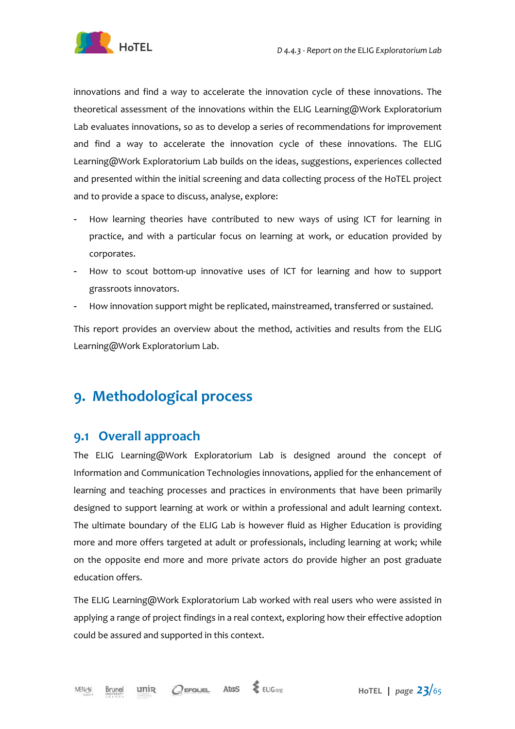

innovations and find a way to accelerate the innovation cycle of these innovations. The theoretical assessment of the innovations within the ELIG Learning@Work Exploratorium Lab evaluates innovations, so as to develop a series of recommendations for improvement and find a way to accelerate the innovation cycle of these innovations. The ELIG Learning@Work Exploratorium Lab builds on the ideas, suggestions, experiences collected and presented within the initial screening and data collecting process of the HoTEL project and to provide a space to discuss, analyse, explore:

- How learning theories have contributed to new ways of using ICT for learning in practice, and with a particular focus on learning at work, or education provided by corporates.
- How to scout bottom-up innovative uses of ICT for learning and how to support grassroots innovators.
- How innovation support might be replicated, mainstreamed, transferred or sustained.

This report provides an overview about the method, activities and results from the ELIG Learning@Work Exploratorium Lab.

### **9. Methodological process**

### **9.1 Overall approach**

The ELIG Learning@Work Exploratorium Lab is designed around the concept of Information and Communication Technologies innovations, applied for the enhancement of learning and teaching processes and practices in environments that have been primarily designed to support learning at work or within a professional and adult learning context. The ultimate boundary of the ELIG Lab is however fluid as Higher Education is providing more and more offers targeted at adult or professionals, including learning at work; while on the opposite end more and more private actors do provide higher an post graduate education offers.

The ELIG Learning@Work Exploratorium Lab worked with real users who were assisted in applying a range of project findings in a real context, exploring how their effective adoption could be assured and supported in this context.

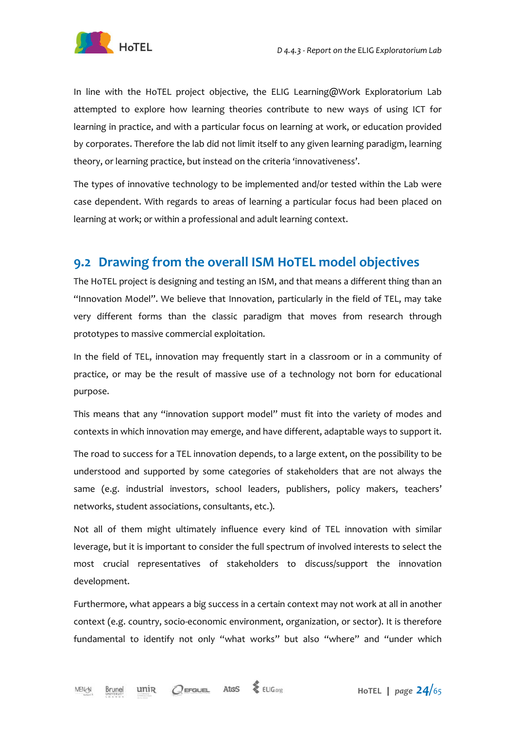

In line with the HoTEL project objective, the ELIG Learning@Work Exploratorium Lab attempted to explore how learning theories contribute to new ways of using ICT for learning in practice, and with a particular focus on learning at work, or education provided by corporates. Therefore the lab did not limit itself to any given learning paradigm, learning theory, or learning practice, but instead on the criteria 'innovativeness'.

The types of innovative technology to be implemented and/or tested within the Lab were case dependent. With regards to areas of learning a particular focus had been placed on learning at work; or within a professional and adult learning context.

### **9.2 Drawing from the overall ISM HoTEL model objectives**

The HoTEL project is designing and testing an ISM, and that means a different thing than an "Innovation Model". We believe that Innovation, particularly in the field of TEL, may take very different forms than the classic paradigm that moves from research through prototypes to massive commercial exploitation.

In the field of TEL, innovation may frequently start in a classroom or in a community of practice, or may be the result of massive use of a technology not born for educational purpose.

This means that any "innovation support model" must fit into the variety of modes and contexts in which innovation may emerge, and have different, adaptable ways to support it.

The road to success for a TEL innovation depends, to a large extent, on the possibility to be understood and supported by some categories of stakeholders that are not always the same (e.g. industrial investors, school leaders, publishers, policy makers, teachers' networks, student associations, consultants, etc.).

Not all of them might ultimately influence every kind of TEL innovation with similar leverage, but it is important to consider the full spectrum of involved interests to select the most crucial representatives of stakeholders to discuss/support the innovation development.

Furthermore, what appears a big success in a certain context may not work at all in another context (e.g. country, socio-economic environment, organization, or sector). It is therefore fundamental to identify not only "what works" but also "where" and "under which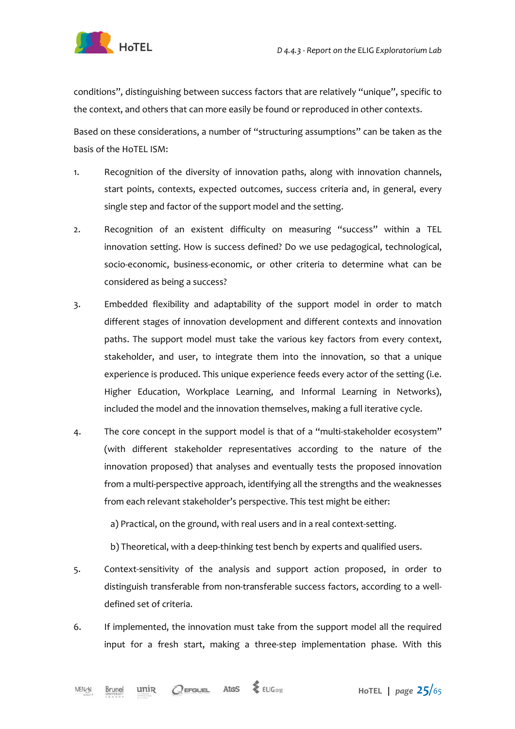



conditions", distinguishing between success factors that are relatively "unique", specific to the context, and others that can more easily be found or reproduced in other contexts.

Based on these considerations, a number of "structuring assumptions" can be taken as the basis of the HoTEL ISM:

- 1. Recognition of the diversity of innovation paths, along with innovation channels, start points, contexts, expected outcomes, success criteria and, in general, every single step and factor of the support model and the setting.
- 2. Recognition of an existent difficulty on measuring "success" within a TEL innovation setting. How is success defined? Do we use pedagogical, technological, socio-economic, business-economic, or other criteria to determine what can be considered as being a success?
- 3. Embedded flexibility and adaptability of the support model in order to match different stages of innovation development and different contexts and innovation paths. The support model must take the various key factors from every context, stakeholder, and user, to integrate them into the innovation, so that a unique experience is produced. This unique experience feeds every actor of the setting (i.e. Higher Education, Workplace Learning, and Informal Learning in Networks), included the model and the innovation themselves, making a full iterative cycle.
- 4. The core concept in the support model is that of a "multi-stakeholder ecosystem" (with different stakeholder representatives according to the nature of the innovation proposed) that analyses and eventually tests the proposed innovation from a multi-perspective approach, identifying all the strengths and the weaknesses from each relevant stakeholder's perspective. This test might be either:

a) Practical, on the ground, with real users and in a real context-setting.

b) Theoretical, with a deep-thinking test bench by experts and qualified users.

- 5. Context-sensitivity of the analysis and support action proposed, in order to distinguish transferable from non-transferable success factors, according to a welldefined set of criteria.
- 6. If implemented, the innovation must take from the support model all the required input for a fresh start, making a three-step implementation phase. With this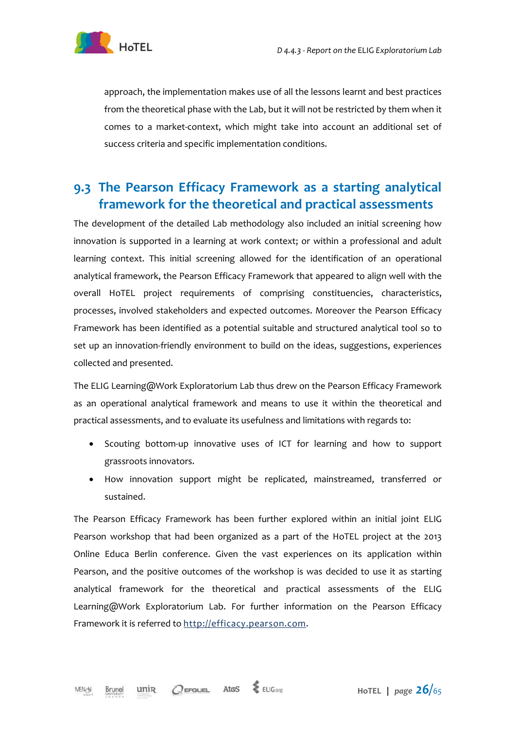



approach, the implementation makes use of all the lessons learnt and best practices from the theoretical phase with the Lab, but it will not be restricted by them when it comes to a market-context, which might take into account an additional set of success criteria and specific implementation conditions.

### **9.3 The Pearson Efficacy Framework as a starting analytical framework for the theoretical and practical assessments**

The development of the detailed Lab methodology also included an initial screening how innovation is supported in a learning at work context; or within a professional and adult learning context. This initial screening allowed for the identification of an operational analytical framework, the Pearson Efficacy Framework that appeared to align well with the overall HoTEL project requirements of comprising constituencies, characteristics, processes, involved stakeholders and expected outcomes. Moreover the Pearson Efficacy Framework has been identified as a potential suitable and structured analytical tool so to set up an innovation-friendly environment to build on the ideas, suggestions, experiences collected and presented.

The ELIG Learning@Work Exploratorium Lab thus drew on the Pearson Efficacy Framework as an operational analytical framework and means to use it within the theoretical and practical assessments, and to evaluate its usefulness and limitations with regards to:

- Scouting bottom-up innovative uses of ICT for learning and how to support grassroots innovators.
- How innovation support might be replicated, mainstreamed, transferred or sustained.

The Pearson Efficacy Framework has been further explored within an initial joint ELIG Pearson workshop that had been organized as a part of the HoTEL project at the 2013 Online Educa Berlin conference. Given the vast experiences on its application within Pearson, and the positive outcomes of the workshop is was decided to use it as starting analytical framework for the theoretical and practical assessments of the ELIG Learning@Work Exploratorium Lab. For further information on the Pearson Efficacy Framework it is referred to http://efficacy.pearson.com.

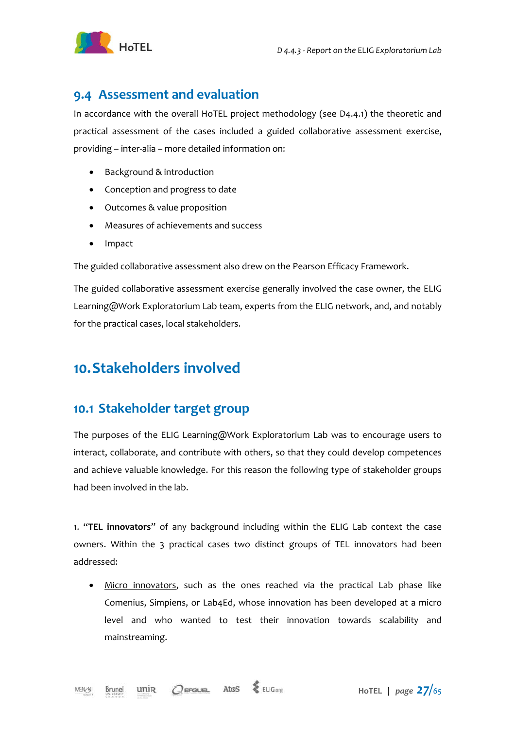

#### **9.4 Assessment and evaluation**

In accordance with the overall HoTEL project methodology (see D4.4.1) the theoretic and practical assessment of the cases included a guided collaborative assessment exercise, providing – inter-alia – more detailed information on:

- Background & introduction
- Conception and progress to date
- Outcomes & value proposition
- Measures of achievements and success
- Impact

The guided collaborative assessment also drew on the Pearson Efficacy Framework.

The guided collaborative assessment exercise generally involved the case owner, the ELIG Learning@Work Exploratorium Lab team, experts from the ELIG network, and, and notably for the practical cases, local stakeholders.

### **10.Stakeholders involved**

#### **10.1 Stakeholder target group**

The purposes of the ELIG Learning@Work Exploratorium Lab was to encourage users to interact, collaborate, and contribute with others, so that they could develop competences and achieve valuable knowledge. For this reason the following type of stakeholder groups had been involved in the lab.

1. "**TEL innovators**" of any background including within the ELIG Lab context the case owners. Within the 3 practical cases two distinct groups of TEL innovators had been addressed:

• Micro innovators, such as the ones reached via the practical Lab phase like Comenius, Simpiens, or Lab4Ed, whose innovation has been developed at a micro level and who wanted to test their innovation towards scalability and mainstreaming.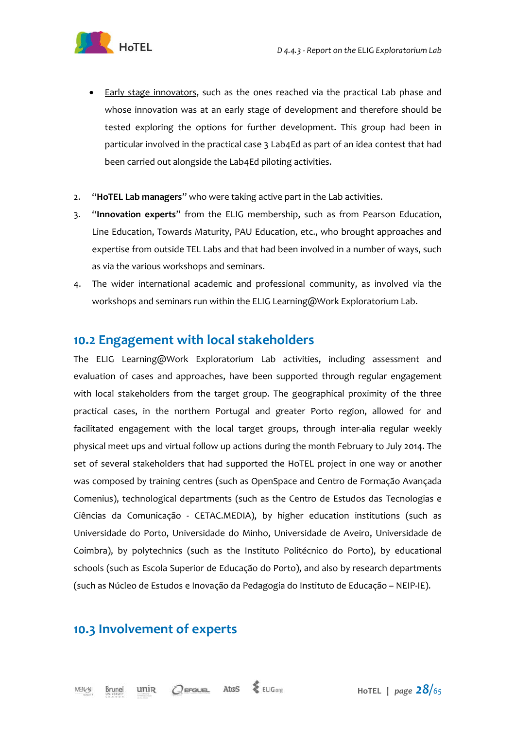

- Early stage innovators, such as the ones reached via the practical Lab phase and whose innovation was at an early stage of development and therefore should be tested exploring the options for further development. This group had been in particular involved in the practical case 3 Lab4Ed as part of an idea contest that had been carried out alongside the Lab4Ed piloting activities.
- 2. "**HoTEL Lab managers**" who were taking active part in the Lab activities.
- 3. "**Innovation experts**" from the ELIG membership, such as from Pearson Education, Line Education, Towards Maturity, PAU Education, etc., who brought approaches and expertise from outside TEL Labs and that had been involved in a number of ways, such as via the various workshops and seminars.
- 4. The wider international academic and professional community, as involved via the workshops and seminars run within the ELIG Learning@Work Exploratorium Lab.

#### **10.2 Engagement with local stakeholders**

The ELIG Learning@Work Exploratorium Lab activities, including assessment and evaluation of cases and approaches, have been supported through regular engagement with local stakeholders from the target group. The geographical proximity of the three practical cases, in the northern Portugal and greater Porto region, allowed for and facilitated engagement with the local target groups, through inter-alia regular weekly physical meet ups and virtual follow up actions during the month February to July 2014. The set of several stakeholders that had supported the HoTEL project in one way or another was composed by training centres (such as OpenSpace and Centro de Formação Avançada Comenius), technological departments (such as the Centro de Estudos das Tecnologias e Ciências da Comunicação - CETAC.MEDIA), by higher education institutions (such as Universidade do Porto, Universidade do Minho, Universidade de Aveiro, Universidade de Coimbra), by polytechnics (such as the Instituto Politécnico do Porto), by educational schools (such as Escola Superior de Educação do Porto), and also by research departments (such as Núcleo de Estudos e Inovação da Pedagogia do Instituto de Educação – NEIP-IE).

### **10.3 Involvement of experts**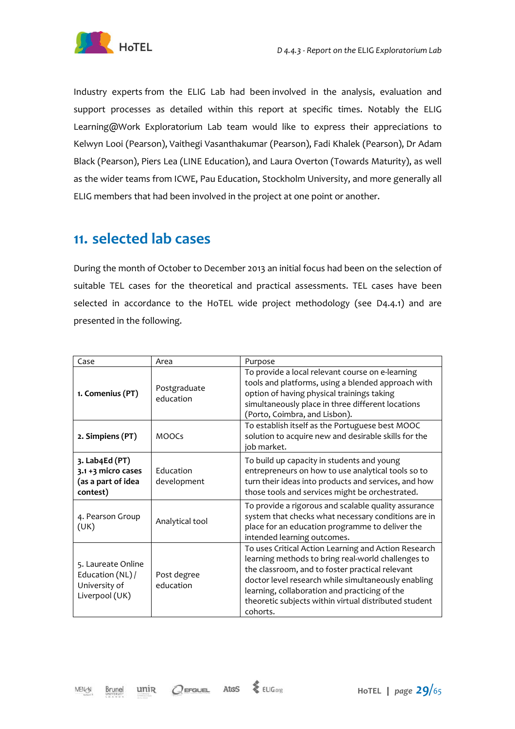

Industry experts from the ELIG Lab had been involved in the analysis, evaluation and support processes as detailed within this report at specific times. Notably the ELIG Learning@Work Exploratorium Lab team would like to express their appreciations to Kelwyn Looi (Pearson), Vaithegi Vasanthakumar (Pearson), Fadi Khalek (Pearson), Dr Adam Black (Pearson), Piers Lea (LINE Education), and Laura Overton (Towards Maturity), as well as the wider teams from ICWE, Pau Education, Stockholm University, and more generally all ELIG members that had been involved in the project at one point or another.

### **11. selected lab cases**

During the month of October to December 2013 an initial focus had been on the selection of suitable TEL cases for the theoretical and practical assessments. TEL cases have been selected in accordance to the HoTEL wide project methodology (see D4.4.1) and are presented in the following.

| Case                                                                      | Area                      | Purpose                                                                                                                                                                                                                                                                                                                                    |
|---------------------------------------------------------------------------|---------------------------|--------------------------------------------------------------------------------------------------------------------------------------------------------------------------------------------------------------------------------------------------------------------------------------------------------------------------------------------|
| 1. Comenius (PT)                                                          | Postgraduate<br>education | To provide a local relevant course on e-learning<br>tools and platforms, using a blended approach with<br>option of having physical trainings taking<br>simultaneously place in three different locations<br>(Porto, Coimbra, and Lisbon).                                                                                                 |
| 2. Simpiens (PT)                                                          | <b>MOOCs</b>              | To establish itself as the Portuguese best MOOC<br>solution to acquire new and desirable skills for the<br>job market.                                                                                                                                                                                                                     |
| 3. Lab4Ed (PT)<br>3.1 +3 micro cases<br>(as a part of idea<br>contest)    | Education<br>development  | To build up capacity in students and young<br>entrepreneurs on how to use analytical tools so to<br>turn their ideas into products and services, and how<br>those tools and services might be orchestrated.                                                                                                                                |
| 4. Pearson Group<br>(UK)                                                  | Analytical tool           | To provide a rigorous and scalable quality assurance<br>system that checks what necessary conditions are in<br>place for an education programme to deliver the<br>intended learning outcomes.                                                                                                                                              |
| 5. Laureate Online<br>Education (NL) /<br>University of<br>Liverpool (UK) | Post degree<br>education  | To uses Critical Action Learning and Action Research<br>learning methods to bring real-world challenges to<br>the classroom, and to foster practical relevant<br>doctor level research while simultaneously enabling<br>learning, collaboration and practicing of the<br>theoretic subjects within virtual distributed student<br>cohorts. |

unin

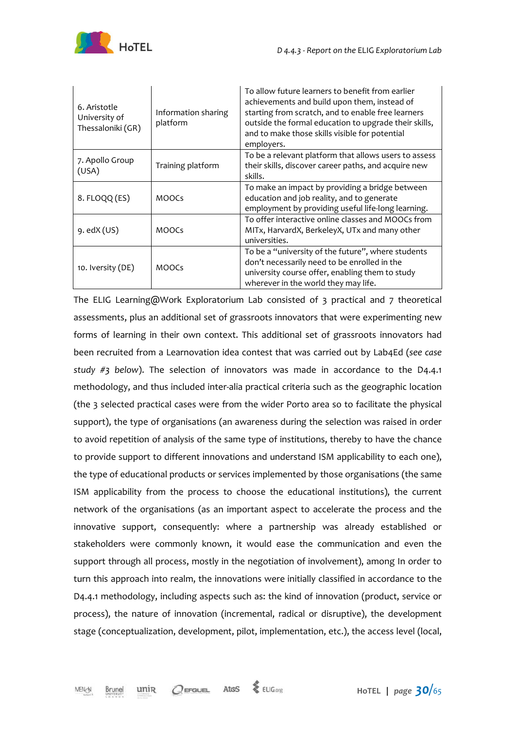

| 6. Aristotle<br>University of<br>Thessaloniki (GR) | Information sharing<br>platform | To allow future learners to benefit from earlier<br>achievements and build upon them, instead of<br>starting from scratch, and to enable free learners<br>outside the formal education to upgrade their skills,<br>and to make those skills visible for potential<br>employers. |
|----------------------------------------------------|---------------------------------|---------------------------------------------------------------------------------------------------------------------------------------------------------------------------------------------------------------------------------------------------------------------------------|
| 7. Apollo Group<br>(USA)                           | Training platform               | To be a relevant platform that allows users to assess<br>their skills, discover career paths, and acquire new<br>skills.                                                                                                                                                        |
| 8. FLOQQ (ES)                                      | <b>MOOCS</b>                    | To make an impact by providing a bridge between<br>education and job reality, and to generate<br>employment by providing useful life-long learning.                                                                                                                             |
| $9.$ ed $X$ (US)                                   | <b>MOOCS</b>                    | To offer interactive online classes and MOOCs from<br>MITx, HarvardX, BerkeleyX, UTx and many other<br>universities.                                                                                                                                                            |
| 10. Iversity (DE)                                  | <b>MOOCS</b>                    | To be a "university of the future", where students<br>don't necessarily need to be enrolled in the<br>university course offer, enabling them to study<br>wherever in the world they may life.                                                                                   |

The ELIG Learning@Work Exploratorium Lab consisted of 3 practical and 7 theoretical assessments, plus an additional set of grassroots innovators that were experimenting new forms of learning in their own context. This additional set of grassroots innovators had been recruited from a Learnovation idea contest that was carried out by Lab4Ed (*see case study #3 below*). The selection of innovators was made in accordance to the D4.4.1 methodology, and thus included inter-alia practical criteria such as the geographic location (the 3 selected practical cases were from the wider Porto area so to facilitate the physical support), the type of organisations (an awareness during the selection was raised in order to avoid repetition of analysis of the same type of institutions, thereby to have the chance to provide support to different innovations and understand ISM applicability to each one), the type of educational products or services implemented by those organisations (the same ISM applicability from the process to choose the educational institutions), the current network of the organisations (as an important aspect to accelerate the process and the innovative support, consequently: where a partnership was already established or stakeholders were commonly known, it would ease the communication and even the support through all process, mostly in the negotiation of involvement), among In order to turn this approach into realm, the innovations were initially classified in accordance to the D4.4.1 methodology, including aspects such as: the kind of innovation (product, service or process), the nature of innovation (incremental, radical or disruptive), the development stage (conceptualization, development, pilot, implementation, etc.), the access level (local,

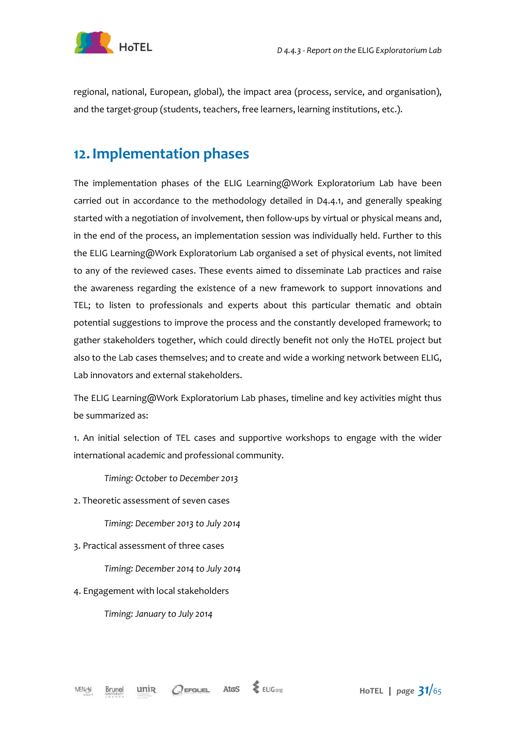

regional, national, European, global), the impact area (process, service, and organisation), and the target-group (students, teachers, free learners, learning institutions, etc.).

### **12.Implementation phases**

The implementation phases of the ELIG Learning@Work Exploratorium Lab have been carried out in accordance to the methodology detailed in D4.4.1, and generally speaking started with a negotiation of involvement, then follow-ups by virtual or physical means and, in the end of the process, an implementation session was individually held. Further to this the ELIG Learning@Work Exploratorium Lab organised a set of physical events, not limited to any of the reviewed cases. These events aimed to disseminate Lab practices and raise the awareness regarding the existence of a new framework to support innovations and TEL; to listen to professionals and experts about this particular thematic and obtain potential suggestions to improve the process and the constantly developed framework; to gather stakeholders together, which could directly benefit not only the HoTEL project but also to the Lab cases themselves; and to create and wide a working network between ELIG, Lab innovators and external stakeholders.

The ELIG Learning@Work Exploratorium Lab phases, timeline and key activities might thus be summarized as:

1. An initial selection of TEL cases and supportive workshops to engage with the wider international academic and professional community.

*Timing: October to December 2013* 

2. Theoretic assessment of seven cases

*Timing: December 2013 to July 2014* 

3. Practical assessment of three cases

*Timing: December 2014 to July 2014* 

4. Engagement with local stakeholders

*Timing: January to July 2014*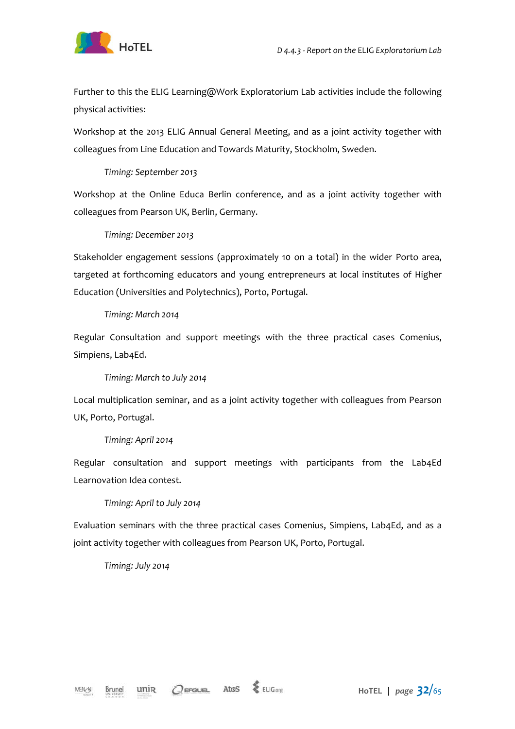

Further to this the ELIG Learning@Work Exploratorium Lab activities include the following physical activities:

Workshop at the 2013 ELIG Annual General Meeting, and as a joint activity together with colleagues from Line Education and Towards Maturity, Stockholm, Sweden.

#### *Timing: September 2013*

Workshop at the Online Educa Berlin conference, and as a joint activity together with colleagues from Pearson UK, Berlin, Germany.

#### *Timing: December 2013*

Stakeholder engagement sessions (approximately 10 on a total) in the wider Porto area, targeted at forthcoming educators and young entrepreneurs at local institutes of Higher Education (Universities and Polytechnics), Porto, Portugal.

#### *Timing: March 2014*

Regular Consultation and support meetings with the three practical cases Comenius, Simpiens, Lab4Ed.

#### *Timing: March to July 2014*

Local multiplication seminar, and as a joint activity together with colleagues from Pearson UK, Porto, Portugal.

#### *Timing: April 2014*

Regular consultation and support meetings with participants from the Lab4Ed Learnovation Idea contest.

*Timing: April to July 2014* 

Evaluation seminars with the three practical cases Comenius, Simpiens, Lab4Ed, and as a joint activity together with colleagues from Pearson UK, Porto, Portugal.

#### *Timing: July 2014*

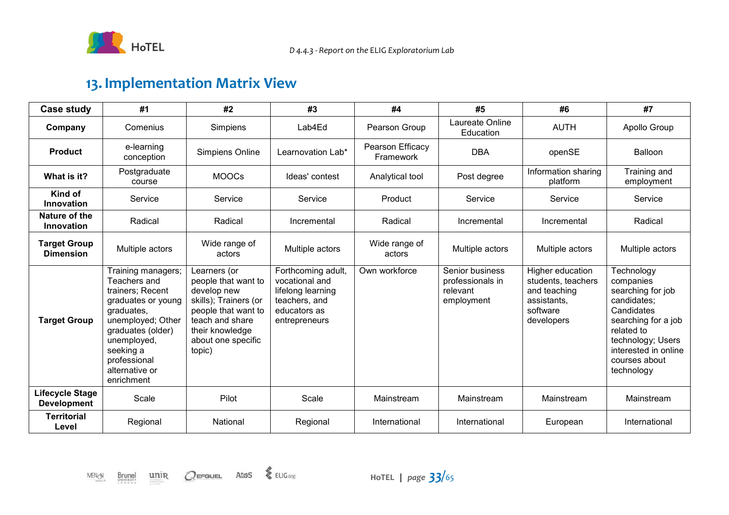

### **13. Implementation Matrix View**

| Case study                              | #1                                                                                                                                                                                                               | #2                                                                                                                                                                       | #3                                                                                                          | #4                            | #5                                                            | #6                                                                                              | #7                                                                                                                                                                                         |
|-----------------------------------------|------------------------------------------------------------------------------------------------------------------------------------------------------------------------------------------------------------------|--------------------------------------------------------------------------------------------------------------------------------------------------------------------------|-------------------------------------------------------------------------------------------------------------|-------------------------------|---------------------------------------------------------------|-------------------------------------------------------------------------------------------------|--------------------------------------------------------------------------------------------------------------------------------------------------------------------------------------------|
| Company                                 | Comenius                                                                                                                                                                                                         | Simpiens                                                                                                                                                                 | Lab4Ed                                                                                                      | Pearson Group                 | Laureate Online<br>Education                                  | <b>AUTH</b>                                                                                     | Apollo Group                                                                                                                                                                               |
| <b>Product</b>                          | e-learning<br>conception                                                                                                                                                                                         | Simpiens Online                                                                                                                                                          | Learnovation Lab*                                                                                           | Pearson Efficacy<br>Framework | <b>DBA</b>                                                    | openSE                                                                                          | <b>Balloon</b>                                                                                                                                                                             |
| What is it?                             | Postgraduate<br>course                                                                                                                                                                                           | <b>MOOCs</b>                                                                                                                                                             | Ideas' contest                                                                                              | Analytical tool               | Post degree                                                   | Information sharing<br>platform                                                                 | Training and<br>employment                                                                                                                                                                 |
| Kind of<br>Innovation                   | Service                                                                                                                                                                                                          | Service                                                                                                                                                                  | Service                                                                                                     | Product                       | Service                                                       | Service                                                                                         | Service                                                                                                                                                                                    |
| Nature of the<br>Innovation             | Radical                                                                                                                                                                                                          | Radical                                                                                                                                                                  | Incremental                                                                                                 | Radical                       | Incremental                                                   | Incremental                                                                                     | Radical                                                                                                                                                                                    |
| <b>Target Group</b><br><b>Dimension</b> | Multiple actors                                                                                                                                                                                                  | Wide range of<br>actors                                                                                                                                                  | Multiple actors                                                                                             | Wide range of<br>actors       | Multiple actors                                               | Multiple actors                                                                                 | Multiple actors                                                                                                                                                                            |
| <b>Target Group</b>                     | Training managers;<br>Teachers and<br>trainers; Recent<br>graduates or young<br>graduates,<br>unemployed; Other<br>graduates (older)<br>unemployed,<br>seeking a<br>professional<br>alternative or<br>enrichment | Learners (or<br>people that want to<br>develop new<br>skills); Trainers (or<br>people that want to<br>teach and share<br>their knowledge<br>about one specific<br>topic) | Forthcoming adult,<br>vocational and<br>lifelong learning<br>teachers, and<br>educators as<br>entrepreneurs | Own workforce                 | Senior business<br>professionals in<br>relevant<br>employment | Higher education<br>students, teachers<br>and teaching<br>assistants.<br>software<br>developers | Technology<br>companies<br>searching for job<br>candidates:<br>Candidates<br>searching for a job<br>related to<br>technology; Users<br>interested in online<br>courses about<br>technology |
| Lifecycle Stage<br><b>Development</b>   | Scale                                                                                                                                                                                                            | Pilot                                                                                                                                                                    | Scale                                                                                                       | Mainstream                    | Mainstream                                                    | Mainstream                                                                                      | Mainstream                                                                                                                                                                                 |
| <b>Territorial</b><br>Level             | Regional                                                                                                                                                                                                         | National                                                                                                                                                                 | Regional                                                                                                    | International                 | International                                                 | European                                                                                        | International                                                                                                                                                                              |

 $\frac{\text{unir}}{\text{unir}}$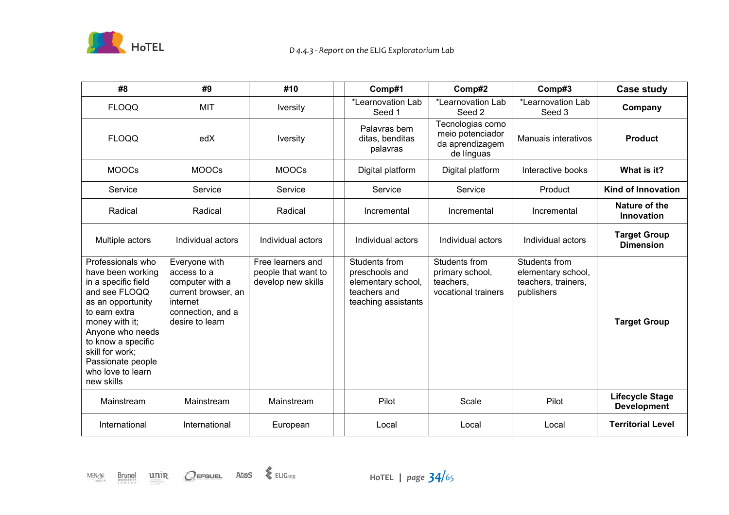

| #8                                                                                                                                                                                                                                                          | #9                                                                                                                         | #10                                                            | Comp#1                                                                                       | Comp#2                                                                | Comp#3                                                                   | <b>Case study</b>                            |
|-------------------------------------------------------------------------------------------------------------------------------------------------------------------------------------------------------------------------------------------------------------|----------------------------------------------------------------------------------------------------------------------------|----------------------------------------------------------------|----------------------------------------------------------------------------------------------|-----------------------------------------------------------------------|--------------------------------------------------------------------------|----------------------------------------------|
| <b>FLOQQ</b>                                                                                                                                                                                                                                                | <b>MIT</b>                                                                                                                 | <b>Iversity</b>                                                | *Learnovation Lab<br>Seed 1                                                                  | *Learnovation Lab<br>Seed 2                                           | *Learnovation Lab<br>Seed 3                                              | Company                                      |
| <b>FLOQQ</b>                                                                                                                                                                                                                                                | edX                                                                                                                        | <b>Iversity</b>                                                | Palavras bem<br>ditas, benditas<br>palavras                                                  | Tecnologias como<br>meio potenciador<br>da aprendizagem<br>de línguas | <b>Manuais interativos</b>                                               | <b>Product</b>                               |
| <b>MOOCs</b>                                                                                                                                                                                                                                                | <b>MOOCs</b>                                                                                                               | <b>MOOCs</b>                                                   | Digital platform                                                                             | Digital platform                                                      | Interactive books                                                        | What is it?                                  |
| Service                                                                                                                                                                                                                                                     | Service                                                                                                                    | Service                                                        | Service                                                                                      | Service                                                               | Product                                                                  | Kind of Innovation                           |
| Radical                                                                                                                                                                                                                                                     | Radical                                                                                                                    | Radical                                                        | Incremental                                                                                  | Incremental                                                           | Incremental                                                              | Nature of the<br>Innovation                  |
| Multiple actors                                                                                                                                                                                                                                             | Individual actors                                                                                                          | Individual actors                                              | Individual actors                                                                            | Individual actors                                                     | Individual actors                                                        | <b>Target Group</b><br><b>Dimension</b>      |
| Professionals who<br>have been working<br>in a specific field<br>and see FLOQQ<br>as an opportunity<br>to earn extra<br>money with it;<br>Anyone who needs<br>to know a specific<br>skill for work;<br>Passionate people<br>who love to learn<br>new skills | Everyone with<br>access to a<br>computer with a<br>current browser, an<br>internet<br>connection, and a<br>desire to learn | Free learners and<br>people that want to<br>develop new skills | Students from<br>preschools and<br>elementary school,<br>teachers and<br>teaching assistants | Students from<br>primary school,<br>teachers,<br>vocational trainers  | Students from<br>elementary school,<br>teachers, trainers,<br>publishers | <b>Target Group</b>                          |
| Mainstream                                                                                                                                                                                                                                                  | Mainstream                                                                                                                 | Mainstream                                                     | Pilot                                                                                        | Scale                                                                 | Pilot                                                                    | <b>Lifecycle Stage</b><br><b>Development</b> |
| International                                                                                                                                                                                                                                               | International                                                                                                              | European                                                       | Local                                                                                        | Local                                                                 | Local                                                                    | <b>Territorial Level</b>                     |



 $\frac{\text{unir}}{\text{unir}}$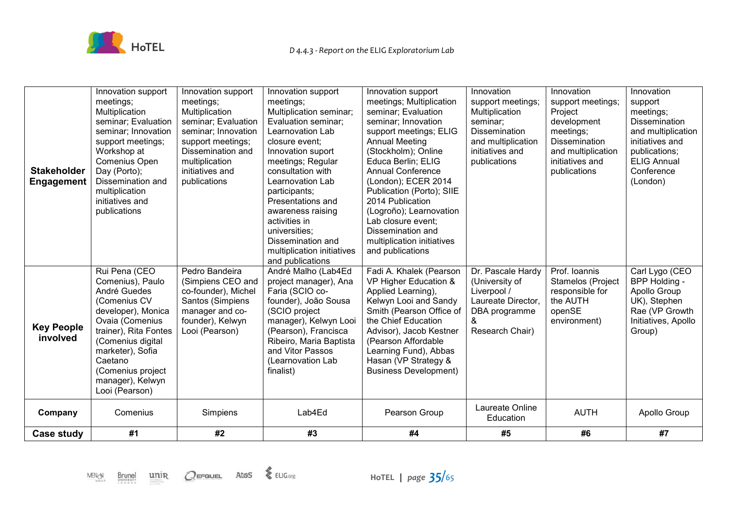

| <b>Stakeholder</b><br><b>Engagement</b> | Innovation support<br>meetings;<br>Multiplication<br>seminar; Evaluation<br>seminar; Innovation<br>support meetings;<br>Workshop at<br>Comenius Open<br>Day (Porto);<br>Dissemination and<br>multiplication<br>initiatives and<br>publications     | Innovation support<br>meetings;<br>Multiplication<br>seminar; Evaluation<br>seminar; Innovation<br>support meetings;<br>Dissemination and<br>multiplication<br>initiatives and<br>publications | Innovation support<br>meetings;<br>Multiplication seminar;<br>Evaluation seminar;<br>Learnovation Lab<br>closure event;<br>Innovation suport<br>meetings; Regular<br>consultation with<br>Learnovation Lab<br>participants;<br>Presentations and<br>awareness raising<br>activities in<br>universities;<br>Dissemination and<br>multiplication initiatives<br>and publications | Innovation support<br>meetings; Multiplication<br>seminar; Evaluation<br>seminar; Innovation<br>support meetings; ELIG<br><b>Annual Meeting</b><br>(Stockholm); Online<br>Educa Berlin; ELIG<br><b>Annual Conference</b><br>(London); ECER 2014<br>Publication (Porto); SIIE<br>2014 Publication<br>(Logroño); Learnovation<br>Lab closure event;<br>Dissemination and<br>multiplication initiatives<br>and publications | Innovation<br>support meetings;<br>Multiplication<br>seminar;<br>Dissemination<br>and multiplication<br>initiatives and<br>publications | Innovation<br>support meetings;<br>Project<br>development<br>meetings;<br><b>Dissemination</b><br>and multiplication<br>initiatives and<br>publications | Innovation<br>support<br>meetings;<br><b>Dissemination</b><br>and multiplication<br>initiatives and<br>publications;<br><b>ELIG Annual</b><br>Conference<br>(London) |
|-----------------------------------------|----------------------------------------------------------------------------------------------------------------------------------------------------------------------------------------------------------------------------------------------------|------------------------------------------------------------------------------------------------------------------------------------------------------------------------------------------------|--------------------------------------------------------------------------------------------------------------------------------------------------------------------------------------------------------------------------------------------------------------------------------------------------------------------------------------------------------------------------------|--------------------------------------------------------------------------------------------------------------------------------------------------------------------------------------------------------------------------------------------------------------------------------------------------------------------------------------------------------------------------------------------------------------------------|-----------------------------------------------------------------------------------------------------------------------------------------|---------------------------------------------------------------------------------------------------------------------------------------------------------|----------------------------------------------------------------------------------------------------------------------------------------------------------------------|
| <b>Key People</b><br>involved           | Rui Pena (CEO<br>Comenius), Paulo<br>André Guedes<br>(Comenius CV<br>developer), Monica<br>Ovaia (Comenius<br>trainer), Rita Fontes<br>(Comenius digital<br>marketer), Sofia<br>Caetano<br>(Comenius project<br>manager), Kelwyn<br>Looi (Pearson) | Pedro Bandeira<br>(Simpiens CEO and<br>co-founder), Michel<br>Santos (Simpiens<br>manager and co-<br>founder), Kelwyn<br>Looi (Pearson)                                                        | André Malho (Lab4Ed<br>project manager), Ana<br>Faria (SCIO co-<br>founder), João Sousa<br>(SCIO project<br>manager), Kelwyn Looi<br>(Pearson), Francisca<br>Ribeiro, Maria Baptista<br>and Vitor Passos<br>(Learnovation Lab<br>finalist)                                                                                                                                     | Fadi A. Khalek (Pearson<br>VP Higher Education &<br>Applied Learning),<br>Kelwyn Looi and Sandy<br>Smith (Pearson Office of<br>the Chief Education<br>Advisor), Jacob Kestner<br>(Pearson Affordable<br>Learning Fund), Abbas<br>Hasan (VP Strategy &<br><b>Business Development)</b>                                                                                                                                    | Dr. Pascale Hardy<br>(University of<br>Liverpool /<br>Laureate Director,<br>DBA programme<br>&<br>Research Chair)                       | Prof. Ioannis<br>Stamelos (Project<br>responsible for<br>the AUTH<br>openSE<br>environment)                                                             | Carl Lygo (CEO<br>BPP Holding -<br>Apollo Group<br>UK), Stephen<br>Rae (VP Growth<br>Initiatives, Apollo<br>Group)                                                   |
| Company                                 | Comenius                                                                                                                                                                                                                                           | Simpiens                                                                                                                                                                                       | Lab4Ed                                                                                                                                                                                                                                                                                                                                                                         | Pearson Group                                                                                                                                                                                                                                                                                                                                                                                                            | Laureate Online<br>Education                                                                                                            | <b>AUTH</b>                                                                                                                                             | Apollo Group                                                                                                                                                         |
| Case study                              | #1                                                                                                                                                                                                                                                 | #2                                                                                                                                                                                             | #3                                                                                                                                                                                                                                                                                                                                                                             | #4                                                                                                                                                                                                                                                                                                                                                                                                                       | #5                                                                                                                                      | #6                                                                                                                                                      | #7                                                                                                                                                                   |

 $\underline{\mathsf{unir}}$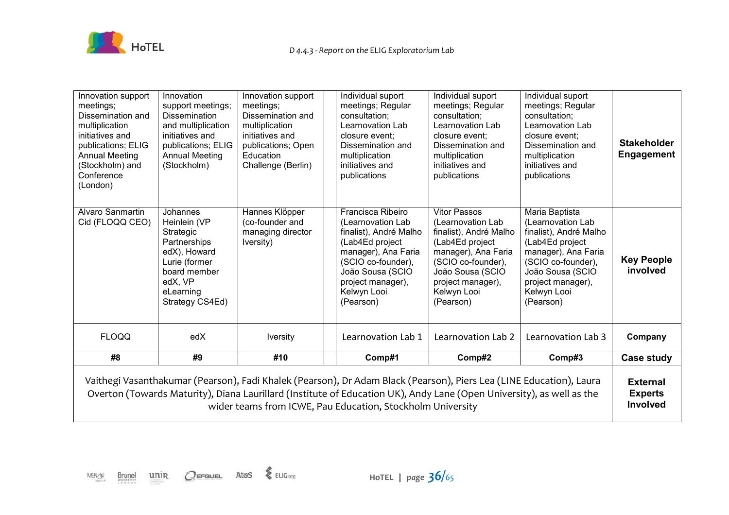

| Innovation support<br>meetings;<br>Dissemination and<br>multiplication<br>initiatives and<br>publications; ELIG<br><b>Annual Meeting</b><br>(Stockholm) and<br>Conference<br>(London)                                                                                                                      | Innovation<br>support meetings;<br><b>Dissemination</b><br>and multiplication<br>initiatives and<br>publications; ELIG<br><b>Annual Meeting</b><br>(Stockholm) | Innovation support<br>meetings;<br>Dissemination and<br>multiplication<br>initiatives and<br>publications; Open<br>Education<br>Challenge (Berlin) | Individual suport<br>meetings; Regular<br>consultation;<br><b>Learnovation Lab</b><br>closure event:<br>Dissemination and<br>multiplication<br>initiatives and<br>publications                        | Individual suport<br>meetings; Regular<br>consultation;<br>Learnovation Lab<br>closure event:<br>Dissemination and<br>multiplication<br>initiatives and<br>publications                                 | Individual suport<br>meetings; Regular<br>consultation;<br>Learnovation Lab<br>closure event:<br>Dissemination and<br>multiplication<br>initiatives and<br>publications                            | <b>Stakeholder</b><br>Engagement |
|------------------------------------------------------------------------------------------------------------------------------------------------------------------------------------------------------------------------------------------------------------------------------------------------------------|----------------------------------------------------------------------------------------------------------------------------------------------------------------|----------------------------------------------------------------------------------------------------------------------------------------------------|-------------------------------------------------------------------------------------------------------------------------------------------------------------------------------------------------------|---------------------------------------------------------------------------------------------------------------------------------------------------------------------------------------------------------|----------------------------------------------------------------------------------------------------------------------------------------------------------------------------------------------------|----------------------------------|
| Alvaro Sanmartin<br>Cid (FLOQQ CEO)                                                                                                                                                                                                                                                                        | Johannes<br>Heinlein (VP<br>Strategic<br>Partnerships<br>edX), Howard<br>Lurie (former<br>board member<br>edX, VP<br>eLearning<br>Strategy CS4Ed)              | Hannes Klöpper<br>(co-founder and<br>managing director<br>Iversity)                                                                                | Francisca Ribeiro<br>(Learnovation Lab<br>finalist), André Malho<br>(Lab4Ed project<br>manager), Ana Faria<br>(SCIO co-founder),<br>João Sousa (SCIO<br>project manager),<br>Kelwyn Looi<br>(Pearson) | <b>Vitor Passos</b><br>(Learnovation Lab<br>finalist), André Malho<br>(Lab4Ed project<br>manager), Ana Faria<br>(SCIO co-founder),<br>João Sousa (SCIO<br>project manager),<br>Kelwyn Looi<br>(Pearson) | Maria Baptista<br>(Learnovation Lab<br>finalist), André Malho<br>(Lab4Ed project<br>manager), Ana Faria<br>(SCIO co-founder),<br>João Sousa (SCIO<br>project manager),<br>Kelwyn Looi<br>(Pearson) | <b>Key People</b><br>involved    |
| <b>FLOQQ</b>                                                                                                                                                                                                                                                                                               | edX                                                                                                                                                            | <b>Iversity</b>                                                                                                                                    | Learnovation Lab 1                                                                                                                                                                                    | Learnovation Lab 2                                                                                                                                                                                      | Learnovation Lab 3                                                                                                                                                                                 | Company                          |
| #8                                                                                                                                                                                                                                                                                                         | #9                                                                                                                                                             | #10                                                                                                                                                | Comp#1                                                                                                                                                                                                | Comp#2                                                                                                                                                                                                  | Comp#3                                                                                                                                                                                             | Case study                       |
| Vaithegi Vasanthakumar (Pearson), Fadi Khalek (Pearson), Dr Adam Black (Pearson), Piers Lea (LINE Education), Laura<br>Overton (Towards Maturity), Diana Laurillard (Institute of Education UK), Andy Lane (Open University), as well as the<br>wider teams from ICWE, Pau Education, Stockholm University |                                                                                                                                                                |                                                                                                                                                    |                                                                                                                                                                                                       |                                                                                                                                                                                                         | <b>External</b><br><b>Experts</b><br>Involved                                                                                                                                                      |                                  |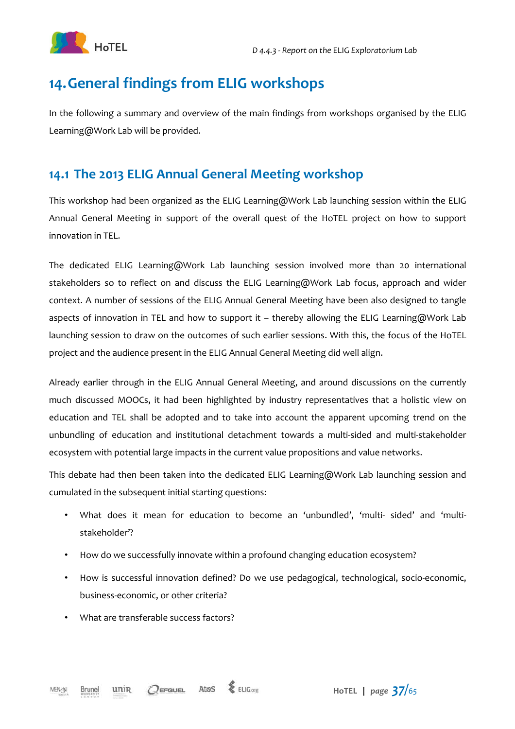

### **14.General findings from ELIG workshops**

In the following a summary and overview of the main findings from workshops organised by the ELIG Learning@Work Lab will be provided.

### **14.1 The 2013 ELIG Annual General Meeting workshop**

This workshop had been organized as the ELIG Learning@Work Lab launching session within the ELIG Annual General Meeting in support of the overall quest of the HoTEL project on how to support innovation in TEL.

The dedicated ELIG Learning@Work Lab launching session involved more than 20 international stakeholders so to reflect on and discuss the ELIG Learning@Work Lab focus, approach and wider context. A number of sessions of the ELIG Annual General Meeting have been also designed to tangle aspects of innovation in TEL and how to support it – thereby allowing the ELIG Learning@Work Lab launching session to draw on the outcomes of such earlier sessions. With this, the focus of the HoTEL project and the audience present in the ELIG Annual General Meeting did well align.

Already earlier through in the ELIG Annual General Meeting, and around discussions on the currently much discussed MOOCs, it had been highlighted by industry representatives that a holistic view on education and TEL shall be adopted and to take into account the apparent upcoming trend on the unbundling of education and institutional detachment towards a multi-sided and multi-stakeholder ecosystem with potential large impacts in the current value propositions and value networks.

This debate had then been taken into the dedicated ELIG Learning@Work Lab launching session and cumulated in the subsequent initial starting questions:

- What does it mean for education to become an 'unbundled', 'multi- sided' and 'multistakeholder'?
- How do we successfully innovate within a profound changing education ecosystem?
- How is successful innovation defined? Do we use pedagogical, technological, socio-economic, business-economic, or other criteria?
- What are transferable success factors?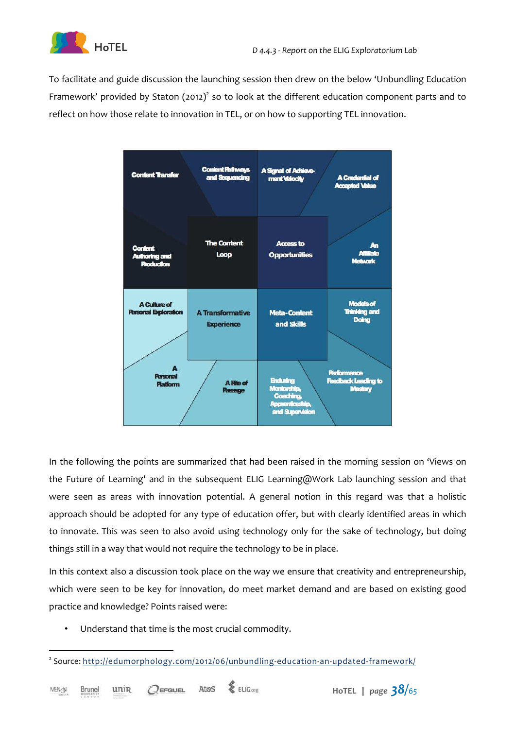

To facilitate and guide discussion the launching session then drew on the below 'Unbundling Education Framework' provided by Staton (2012)<sup>2</sup> so to look at the different education component parts and to reflect on how those relate to innovation in TEL, or on how to supporting TEL innovation.



In the following the points are summarized that had been raised in the morning session on 'Views on the Future of Learning' and in the subsequent ELIG Learning@Work Lab launching session and that were seen as areas with innovation potential. A general notion in this regard was that a holistic approach should be adopted for any type of education offer, but with clearly identified areas in which to innovate. This was seen to also avoid using technology only for the sake of technology, but doing things still in a way that would not require the technology to be in place.

In this context also a discussion took place on the way we ensure that creativity and entrepreneurship, which were seen to be key for innovation, do meet market demand and are based on existing good practice and knowledge? Points raised were:

• Understand that time is the most crucial commodity.



 $\overline{a}$ <sup>2</sup> Source: http://edumorphology.com/2012/06/unbundling-education-an-updated-framework/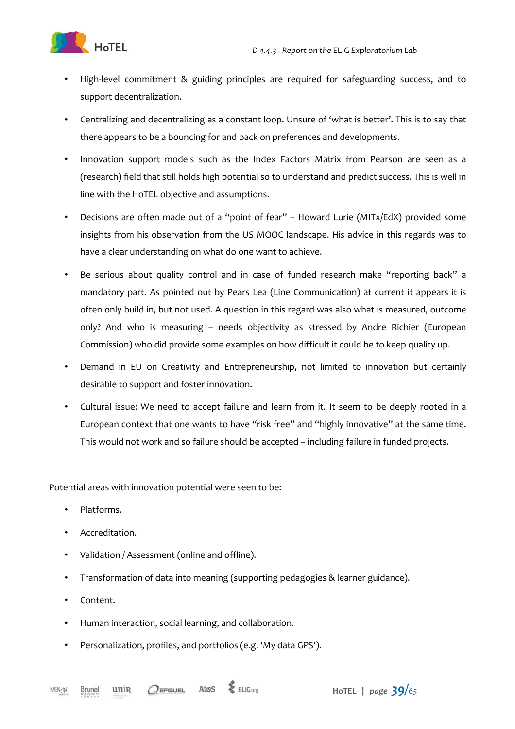

- High-level commitment & guiding principles are required for safeguarding success, and to support decentralization.
- Centralizing and decentralizing as a constant loop. Unsure of 'what is better'. This is to say that there appears to be a bouncing for and back on preferences and developments.
- Innovation support models such as the Index Factors Matrix from Pearson are seen as a (research) field that still holds high potential so to understand and predict success. This is well in line with the HoTEL objective and assumptions.
- Decisions are often made out of a "point of fear" Howard Lurie (MITx/EdX) provided some insights from his observation from the US MOOC landscape. His advice in this regards was to have a clear understanding on what do one want to achieve.
- Be serious about quality control and in case of funded research make "reporting back" a mandatory part. As pointed out by Pears Lea (Line Communication) at current it appears it is often only build in, but not used. A question in this regard was also what is measured, outcome only? And who is measuring – needs objectivity as stressed by Andre Richier (European Commission) who did provide some examples on how difficult it could be to keep quality up.
- Demand in EU on Creativity and Entrepreneurship, not limited to innovation but certainly desirable to support and foster innovation.
- Cultural issue: We need to accept failure and learn from it. It seem to be deeply rooted in a European context that one wants to have "risk free" and "highly innovative" at the same time. This would not work and so failure should be accepted – including failure in funded projects.

Potential areas with innovation potential were seen to be:

- Platforms.
- Accreditation.
- Validation / Assessment (online and offline).
- Transformation of data into meaning (supporting pedagogies & learner guidance).
- Content.
- Human interaction, social learning, and collaboration.
- Personalization, profiles, and portfolios (e.g. 'My data GPS').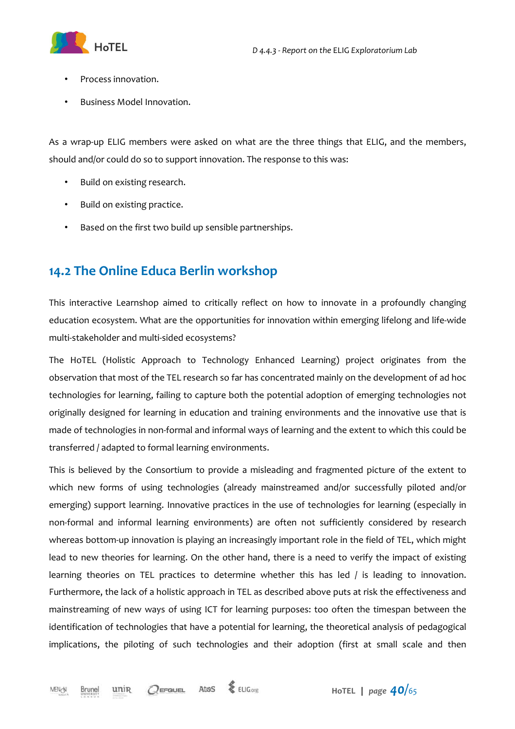

- Process innovation.
- Business Model Innovation.

As a wrap-up ELIG members were asked on what are the three things that ELIG, and the members, should and/or could do so to support innovation. The response to this was:

- Build on existing research.
- Build on existing practice.
- Based on the first two build up sensible partnerships.

### **14.2 The Online Educa Berlin workshop**

This interactive Learnshop aimed to critically reflect on how to innovate in a profoundly changing education ecosystem. What are the opportunities for innovation within emerging lifelong and life-wide multi-stakeholder and multi-sided ecosystems?

The HoTEL (Holistic Approach to Technology Enhanced Learning) project originates from the observation that most of the TEL research so far has concentrated mainly on the development of ad hoc technologies for learning, failing to capture both the potential adoption of emerging technologies not originally designed for learning in education and training environments and the innovative use that is made of technologies in non-formal and informal ways of learning and the extent to which this could be transferred / adapted to formal learning environments.

This is believed by the Consortium to provide a misleading and fragmented picture of the extent to which new forms of using technologies (already mainstreamed and/or successfully piloted and/or emerging) support learning. Innovative practices in the use of technologies for learning (especially in non-formal and informal learning environments) are often not sufficiently considered by research whereas bottom-up innovation is playing an increasingly important role in the field of TEL, which might lead to new theories for learning. On the other hand, there is a need to verify the impact of existing learning theories on TEL practices to determine whether this has led / is leading to innovation. Furthermore, the lack of a holistic approach in TEL as described above puts at risk the effectiveness and mainstreaming of new ways of using ICT for learning purposes: too often the timespan between the identification of technologies that have a potential for learning, the theoretical analysis of pedagogical implications, the piloting of such technologies and their adoption (first at small scale and then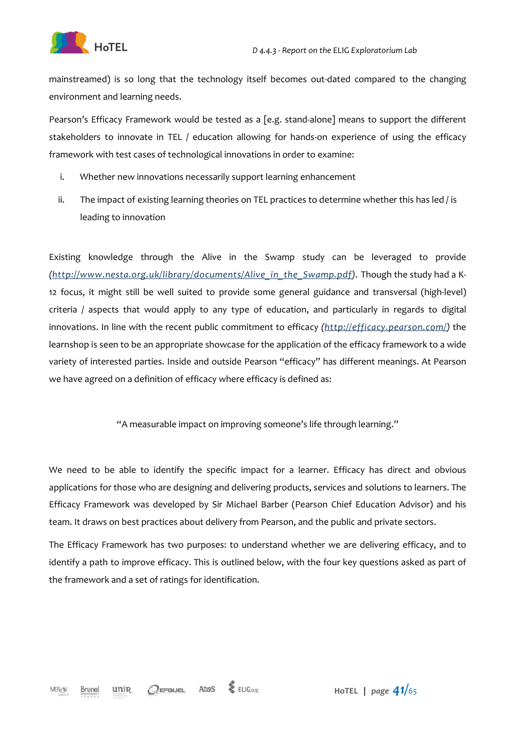



mainstreamed) is so long that the technology itself becomes out-dated compared to the changing environment and learning needs.

Pearson's Efficacy Framework would be tested as a [e.g. stand-alone] means to support the different stakeholders to innovate in TEL / education allowing for hands-on experience of using the efficacy framework with test cases of technological innovations in order to examine:

- i. Whether new innovations necessarily support learning enhancement
- ii. The impact of existing learning theories on TEL practices to determine whether this has led / is leading to innovation

Existing knowledge through the Alive in the Swamp study can be leveraged to provide *(http://www.nesta.org.uk/library/documents/Alive\_in\_the\_Swamp.pdf).* Though the study had a K-12 focus, it might still be well suited to provide some general guidance and transversal (high-level) criteria / aspects that would apply to any type of education, and particularly in regards to digital innovations. In line with the recent public commitment to efficacy *(http://efficacy.pearson.com/)* the learnshop is seen to be an appropriate showcase for the application of the efficacy framework to a wide variety of interested parties. Inside and outside Pearson "efficacy" has different meanings. At Pearson we have agreed on a definition of efficacy where efficacy is defined as:

"A measurable impact on improving someone's life through learning."

We need to be able to identify the specific impact for a learner. Efficacy has direct and obvious applications for those who are designing and delivering products, services and solutions to learners. The Efficacy Framework was developed by Sir Michael Barber (Pearson Chief Education Advisor) and his team. It draws on best practices about delivery from Pearson, and the public and private sectors.

The Efficacy Framework has two purposes: to understand whether we are delivering efficacy, and to identify a path to improve efficacy. This is outlined below, with the four key questions asked as part of the framework and a set of ratings for identification.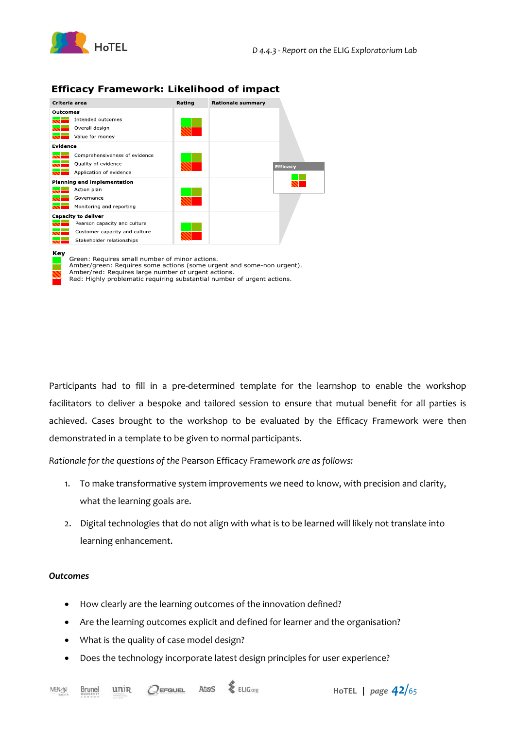

#### **Efficacy Framework: Likelihood of impact**

| Criteria area                      | Rating | <b>Rationale summary</b> |                 |
|------------------------------------|--------|--------------------------|-----------------|
| Outcomes                           |        |                          |                 |
| Intended outcomes                  |        |                          |                 |
| Overall design                     |        |                          |                 |
| Value for money                    |        |                          |                 |
| Evidence                           |        |                          |                 |
| Comprehensiveness of evidence      |        |                          |                 |
| Quality of evidence                |        |                          | <b>Efficacy</b> |
| Application of evidence            |        |                          |                 |
| <b>Planning and implementation</b> |        |                          |                 |
| Action plan                        |        |                          |                 |
| Governance                         |        |                          |                 |
| Monitoring and reporting           |        |                          |                 |
| <b>Capacity to deliver</b>         |        |                          |                 |
| Pearson capacity and culture       |        |                          |                 |
| Customer capacity and culture      |        |                          |                 |
| Stakeholder relationships          |        |                          |                 |

#### **Key**

Green: Requires small number of minor actions. Amber/green: Requires some actions (some urgent and some-non urgent).

Amber/red: Requires large number of urgent actions. Red: Highly problematic requiring substantial number of urgent actions.

Participants had to fill in a pre-determined template for the learnshop to enable the workshop facilitators to deliver a bespoke and tailored session to ensure that mutual benefit for all parties is achieved. Cases brought to the workshop to be evaluated by the Efficacy Framework were then demonstrated in a template to be given to normal participants.

*Rationale for the questions of the* Pearson Efficacy Framework *are as follows:* 

- 1. To make transformative system improvements we need to know, with precision and clarity, what the learning goals are.
- 2. Digital technologies that do not align with what is to be learned will likely not translate into learning enhancement.

#### *Outcomes*

- How clearly are the learning outcomes of the innovation defined?
- Are the learning outcomes explicit and defined for learner and the organisation?
- What is the quality of case model design?
- Does the technology incorporate latest design principles for user experience?

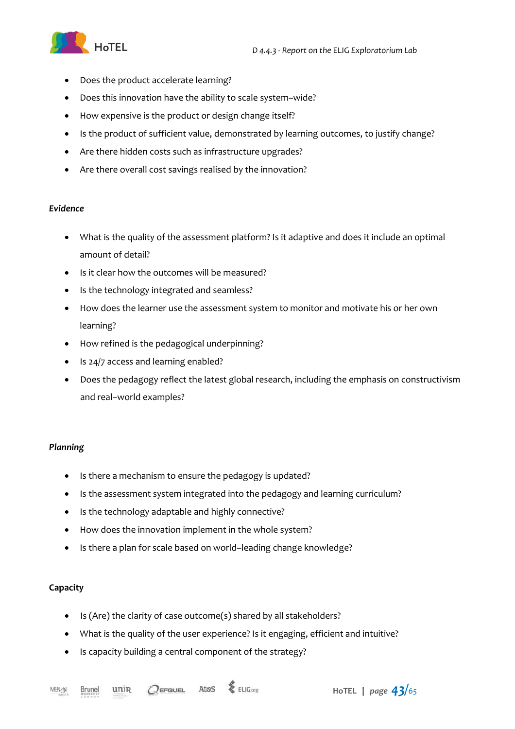

- Does the product accelerate learning?
- Does this innovation have the ability to scale system–wide?
- How expensive is the product or design change itself?
- Is the product of sufficient value, demonstrated by learning outcomes, to justify change?
- Are there hidden costs such as infrastructure upgrades?
- Are there overall cost savings realised by the innovation?

#### *Evidence*

- What is the quality of the assessment platform? Is it adaptive and does it include an optimal amount of detail?
- Is it clear how the outcomes will be measured?
- Is the technology integrated and seamless?
- How does the learner use the assessment system to monitor and motivate his or her own learning?
- How refined is the pedagogical underpinning?
- Is 24/7 access and learning enabled?
- Does the pedagogy reflect the latest global research, including the emphasis on constructivism and real–world examples?

#### *Planning*

- Is there a mechanism to ensure the pedagogy is updated?
- Is the assessment system integrated into the pedagogy and learning curriculum?
- Is the technology adaptable and highly connective?
- How does the innovation implement in the whole system?
- Is there a plan for scale based on world-leading change knowledge?

#### **Capacity**

- Is (Are) the clarity of case outcome(s) shared by all stakeholders?
- What is the quality of the user experience? Is it engaging, efficient and intuitive?
- Is capacity building a central component of the strategy?

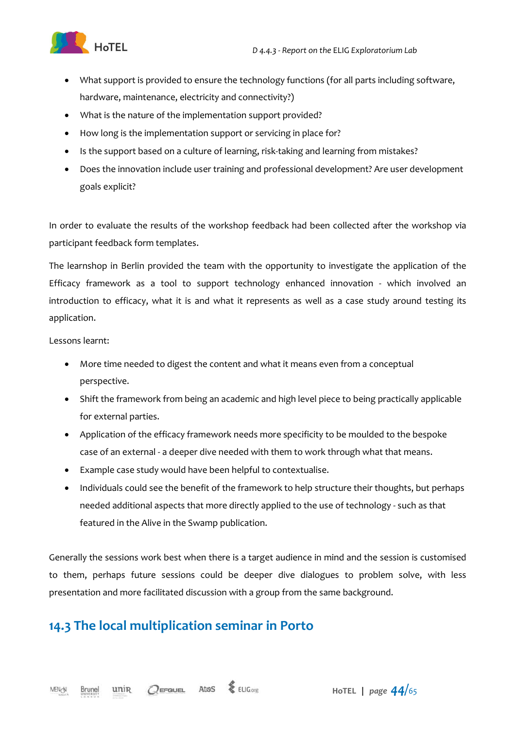

- What support is provided to ensure the technology functions (for all parts including software, hardware, maintenance, electricity and connectivity?)
- What is the nature of the implementation support provided?
- How long is the implementation support or servicing in place for?
- Is the support based on a culture of learning, risk-taking and learning from mistakes?
- Does the innovation include user training and professional development? Are user development goals explicit?

In order to evaluate the results of the workshop feedback had been collected after the workshop via participant feedback form templates.

The learnshop in Berlin provided the team with the opportunity to investigate the application of the Efficacy framework as a tool to support technology enhanced innovation - which involved an introduction to efficacy, what it is and what it represents as well as a case study around testing its application.

Lessons learnt:

- More time needed to digest the content and what it means even from a conceptual perspective.
- Shift the framework from being an academic and high level piece to being practically applicable for external parties.
- Application of the efficacy framework needs more specificity to be moulded to the bespoke case of an external - a deeper dive needed with them to work through what that means.
- Example case study would have been helpful to contextualise.
- Individuals could see the benefit of the framework to help structure their thoughts, but perhaps needed additional aspects that more directly applied to the use of technology - such as that featured in the Alive in the Swamp publication.

Generally the sessions work best when there is a target audience in mind and the session is customised to them, perhaps future sessions could be deeper dive dialogues to problem solve, with less presentation and more facilitated discussion with a group from the same background.

### **14.3 The local multiplication seminar in Porto**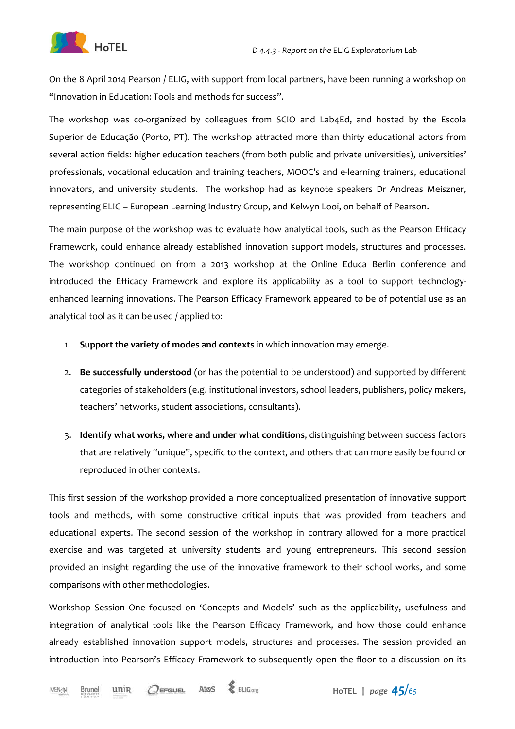

On the 8 April 2014 Pearson / ELIG, with support from local partners, have been running a workshop on "Innovation in Education: Tools and methods for success".

The workshop was co-organized by colleagues from SCIO and Lab4Ed, and hosted by the Escola Superior de Educação (Porto, PT). The workshop attracted more than thirty educational actors from several action fields: higher education teachers (from both public and private universities), universities' professionals, vocational education and training teachers, MOOC's and e-learning trainers, educational innovators, and university students. The workshop had as keynote speakers Dr Andreas Meiszner, representing ELIG – European Learning Industry Group, and Kelwyn Looi, on behalf of Pearson.

The main purpose of the workshop was to evaluate how analytical tools, such as the Pearson Efficacy Framework, could enhance already established innovation support models, structures and processes. The workshop continued on from a 2013 workshop at the Online Educa Berlin conference and introduced the Efficacy Framework and explore its applicability as a tool to support technologyenhanced learning innovations. The Pearson Efficacy Framework appeared to be of potential use as an analytical tool as it can be used / applied to:

- 1. **Support the variety of modes and contexts** in which innovation may emerge.
- 2. **Be successfully understood** (or has the potential to be understood) and supported by different categories of stakeholders (e.g. institutional investors, school leaders, publishers, policy makers, teachers' networks, student associations, consultants).
- 3. **Identify what works, where and under what conditions**, distinguishing between success factors that are relatively "unique", specific to the context, and others that can more easily be found or reproduced in other contexts.

This first session of the workshop provided a more conceptualized presentation of innovative support tools and methods, with some constructive critical inputs that was provided from teachers and educational experts. The second session of the workshop in contrary allowed for a more practical exercise and was targeted at university students and young entrepreneurs. This second session provided an insight regarding the use of the innovative framework to their school works, and some comparisons with other methodologies.

Workshop Session One focused on 'Concepts and Models' such as the applicability, usefulness and integration of analytical tools like the Pearson Efficacy Framework, and how those could enhance already established innovation support models, structures and processes. The session provided an introduction into Pearson's Efficacy Framework to subsequently open the floor to a discussion on its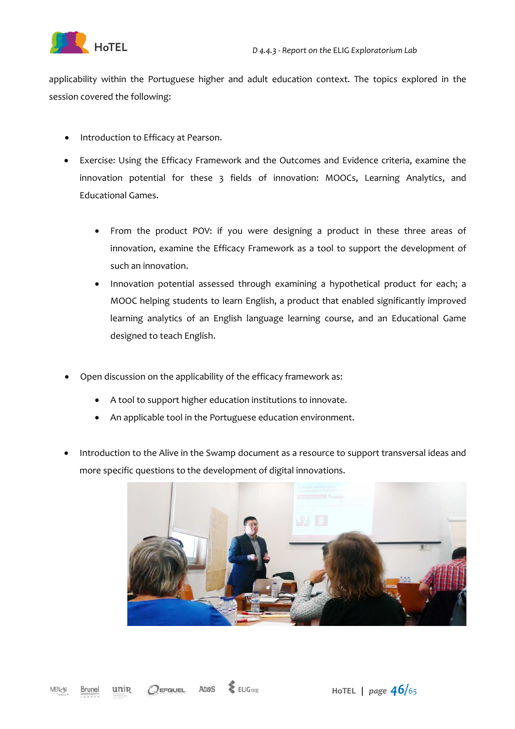

applicability within the Portuguese higher and adult education context. The topics explored in the session covered the following:

- Introduction to Efficacy at Pearson.
- Exercise: Using the Efficacy Framework and the Outcomes and Evidence criteria, examine the innovation potential for these 3 fields of innovation: MOOCs, Learning Analytics, and Educational Games.
	- From the product POV: if you were designing a product in these three areas of innovation, examine the Efficacy Framework as a tool to support the development of such an innovation.
	- Innovation potential assessed through examining a hypothetical product for each; a MOOC helping students to learn English, a product that enabled significantly improved learning analytics of an English language learning course, and an Educational Game designed to teach English.
- Open discussion on the applicability of the efficacy framework as:
	- A tool to support higher education institutions to innovate.
	- An applicable tool in the Portuguese education environment.
- Introduction to the Alive in the Swamp document as a resource to support transversal ideas and more specific questions to the development of digital innovations.



**HoTEL****<sup>|</sup>** *page 46/<sup>65</sup>*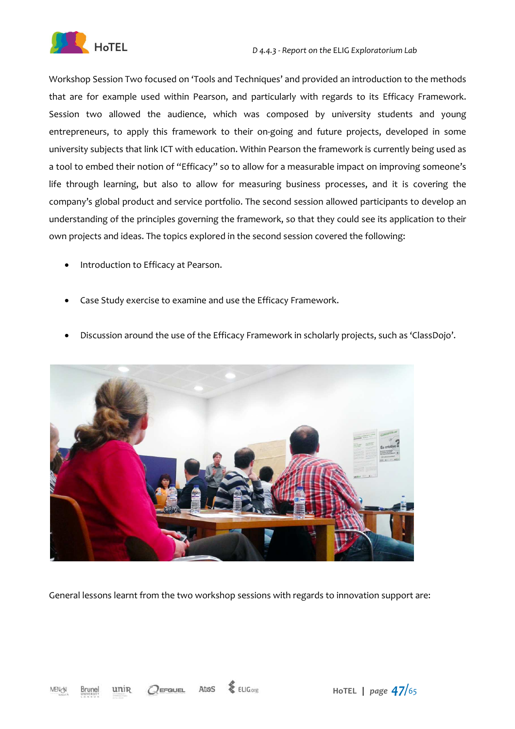

Workshop Session Two focused on 'Tools and Techniques' and provided an introduction to the methods that are for example used within Pearson, and particularly with regards to its Efficacy Framework. Session two allowed the audience, which was composed by university students and young entrepreneurs, to apply this framework to their on-going and future projects, developed in some university subjects that link ICT with education. Within Pearson the framework is currently being used as a tool to embed their notion of "Efficacy" so to allow for a measurable impact on improving someone's life through learning, but also to allow for measuring business processes, and it is covering the company's global product and service portfolio. The second session allowed participants to develop an understanding of the principles governing the framework, so that they could see its application to their own projects and ideas. The topics explored in the second session covered the following:

- Introduction to Efficacy at Pearson.
- Case Study exercise to examine and use the Efficacy Framework.
- Discussion around the use of the Efficacy Framework in scholarly projects, such as 'ClassDojo'.



General lessons learnt from the two workshop sessions with regards to innovation support are: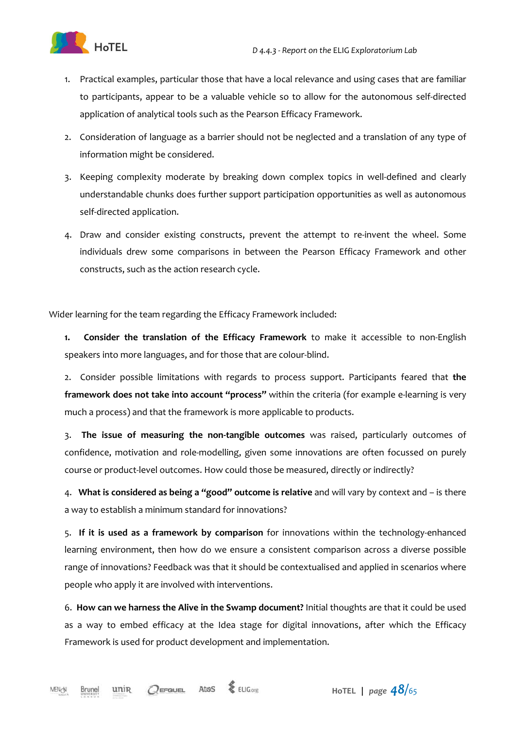

- 1. Practical examples, particular those that have a local relevance and using cases that are familiar to participants, appear to be a valuable vehicle so to allow for the autonomous self-directed application of analytical tools such as the Pearson Efficacy Framework.
- 2. Consideration of language as a barrier should not be neglected and a translation of any type of information might be considered.
- 3. Keeping complexity moderate by breaking down complex topics in well-defined and clearly understandable chunks does further support participation opportunities as well as autonomous self-directed application.
- 4. Draw and consider existing constructs, prevent the attempt to re-invent the wheel. Some individuals drew some comparisons in between the Pearson Efficacy Framework and other constructs, such as the action research cycle.

Wider learning for the team regarding the Efficacy Framework included:

**1. Consider the translation of the Efficacy Framework** to make it accessible to non-English speakers into more languages, and for those that are colour-blind.

2. Consider possible limitations with regards to process support. Participants feared that **the framework does not take into account "process"** within the criteria (for example e-learning is very much a process) and that the framework is more applicable to products.

3. **The issue of measuring the non-tangible outcomes** was raised, particularly outcomes of confidence, motivation and role-modelling, given some innovations are often focussed on purely course or product-level outcomes. How could those be measured, directly or indirectly?

4. **What is considered as being a "good" outcome is relative** and will vary by context and – is there a way to establish a minimum standard for innovations?

5. **If it is used as a framework by comparison** for innovations within the technology-enhanced learning environment, then how do we ensure a consistent comparison across a diverse possible range of innovations? Feedback was that it should be contextualised and applied in scenarios where people who apply it are involved with interventions.

6. **How can we harness the Alive in the Swamp document?** Initial thoughts are that it could be used as a way to embed efficacy at the Idea stage for digital innovations, after which the Efficacy Framework is used for product development and implementation.

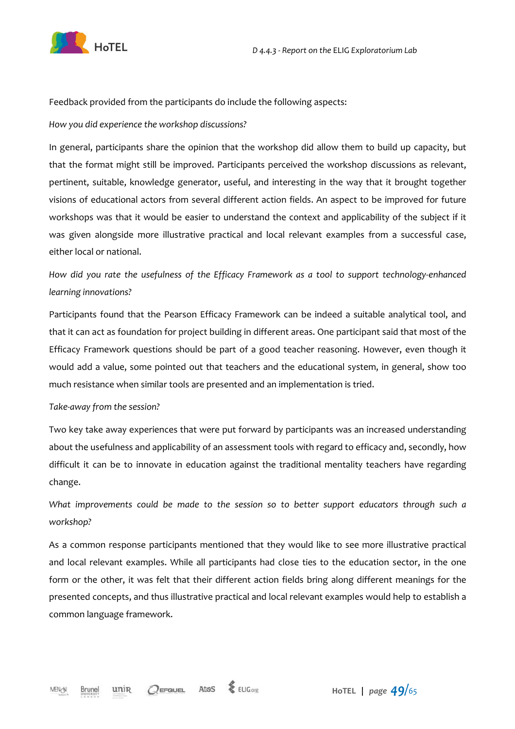

Feedback provided from the participants do include the following aspects:

#### *How you did experience the workshop discussions?*

In general, participants share the opinion that the workshop did allow them to build up capacity, but that the format might still be improved. Participants perceived the workshop discussions as relevant, pertinent, suitable, knowledge generator, useful, and interesting in the way that it brought together visions of educational actors from several different action fields. An aspect to be improved for future workshops was that it would be easier to understand the context and applicability of the subject if it was given alongside more illustrative practical and local relevant examples from a successful case, either local or national.

*How did you rate the usefulness of the Efficacy Framework as a tool to support technology-enhanced learning innovations?* 

Participants found that the Pearson Efficacy Framework can be indeed a suitable analytical tool, and that it can act as foundation for project building in different areas. One participant said that most of the Efficacy Framework questions should be part of a good teacher reasoning. However, even though it would add a value, some pointed out that teachers and the educational system, in general, show too much resistance when similar tools are presented and an implementation is tried.

#### *Take-away from the session?*

Two key take away experiences that were put forward by participants was an increased understanding about the usefulness and applicability of an assessment tools with regard to efficacy and, secondly, how difficult it can be to innovate in education against the traditional mentality teachers have regarding change.

*What improvements could be made to the session so to better support educators through such a workshop?* 

As a common response participants mentioned that they would like to see more illustrative practical and local relevant examples. While all participants had close ties to the education sector, in the one form or the other, it was felt that their different action fields bring along different meanings for the presented concepts, and thus illustrative practical and local relevant examples would help to establish a common language framework.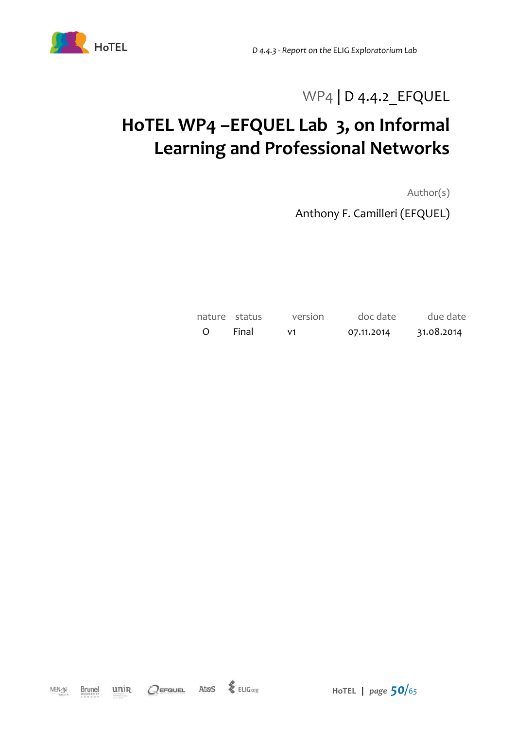

## WP4 | D 4.4.2 EFQUEL

# **HoTEL WP4 –EFQUEL Lab 3, on Informal Learning and Professional Networks**

Author(s)

Anthony F. Camilleri (EFQUEL)

|  |       | nature status version doc date due date |  |
|--|-------|-----------------------------------------|--|
|  | Final |                                         |  |

 $Q$ EFQUEL Atos  $\frac{1}{2}$  ELIG.org unin MENGN Brunel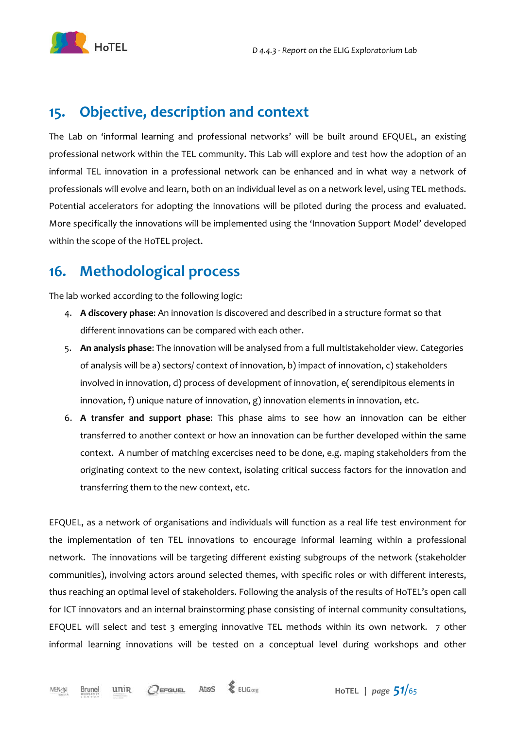

### **15. Objective, description and context**

The Lab on 'informal learning and professional networks' will be built around EFQUEL, an existing professional network within the TEL community. This Lab will explore and test how the adoption of an informal TEL innovation in a professional network can be enhanced and in what way a network of professionals will evolve and learn, both on an individual level as on a network level, using TEL methods. Potential accelerators for adopting the innovations will be piloted during the process and evaluated. More specifically the innovations will be implemented using the 'Innovation Support Model' developed within the scope of the HoTEL project.

### **16. Methodological process**

The lab worked according to the following logic:

- 4. **A discovery phase**: An innovation is discovered and described in a structure format so that different innovations can be compared with each other.
- 5. **An analysis phase**: The innovation will be analysed from a full multistakeholder view. Categories of analysis will be a) sectors/ context of innovation, b) impact of innovation, c) stakeholders involved in innovation, d) process of development of innovation, e( serendipitous elements in innovation, f) unique nature of innovation, g) innovation elements in innovation, etc.
- 6. **A transfer and support phase**: This phase aims to see how an innovation can be either transferred to another context or how an innovation can be further developed within the same context. A number of matching excercises need to be done, e.g. maping stakeholders from the originating context to the new context, isolating critical success factors for the innovation and transferring them to the new context, etc.

EFQUEL, as a network of organisations and individuals will function as a real life test environment for the implementation of ten TEL innovations to encourage informal learning within a professional network. The innovations will be targeting different existing subgroups of the network (stakeholder communities), involving actors around selected themes, with specific roles or with different interests, thus reaching an optimal level of stakeholders. Following the analysis of the results of HoTEL's open call for ICT innovators and an internal brainstorming phase consisting of internal community consultations, EFQUEL will select and test 3 emerging innovative TEL methods within its own network. 7 other informal learning innovations will be tested on a conceptual level during workshops and other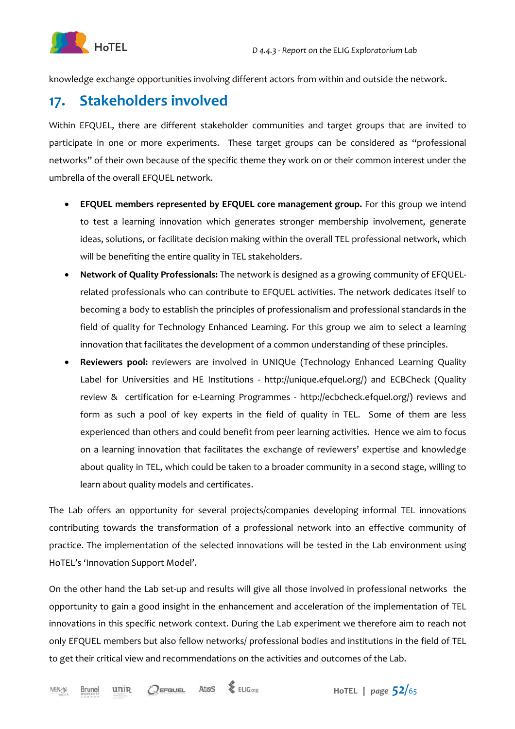

knowledge exchange opportunities involving different actors from within and outside the network.

### **17. Stakeholders involved**

Within EFQUEL, there are different stakeholder communities and target groups that are invited to participate in one or more experiments. These target groups can be considered as "professional networks" of their own because of the specific theme they work on or their common interest under the umbrella of the overall EFQUEL network.

- **EFQUEL members represented by EFQUEL core management group.** For this group we intend to test a learning innovation which generates stronger membership involvement, generate ideas, solutions, or facilitate decision making within the overall TEL professional network, which will be benefiting the entire quality in TEL stakeholders.
- **Network of Quality Professionals:** The network is designed as a growing community of EFQUELrelated professionals who can contribute to EFQUEL activities. The network dedicates itself to becoming a body to establish the principles of professionalism and professional standards in the field of quality for Technology Enhanced Learning. For this group we aim to select a learning innovation that facilitates the development of a common understanding of these principles.
- **Reviewers pool:** reviewers are involved in UNIQUe (Technology Enhanced Learning Quality Label for Universities and HE Institutions - http://unique.efquel.org/) and ECBCheck (Quality review & certification for e-Learning Programmes - http://ecbcheck.efquel.org/) reviews and form as such a pool of key experts in the field of quality in TEL. Some of them are less experienced than others and could benefit from peer learning activities. Hence we aim to focus on a learning innovation that facilitates the exchange of reviewers' expertise and knowledge about quality in TEL, which could be taken to a broader community in a second stage, willing to learn about quality models and certificates.

The Lab offers an opportunity for several projects/companies developing informal TEL innovations contributing towards the transformation of a professional network into an effective community of practice. The implementation of the selected innovations will be tested in the Lab environment using HoTEL's 'Innovation Support Model'.

On the other hand the Lab set-up and results will give all those involved in professional networks the opportunity to gain a good insight in the enhancement and acceleration of the implementation of TEL innovations in this specific network context. During the Lab experiment we therefore aim to reach not only EFQUEL members but also fellow networks/ professional bodies and institutions in the field of TEL to get their critical view and recommendations on the activities and outcomes of the Lab.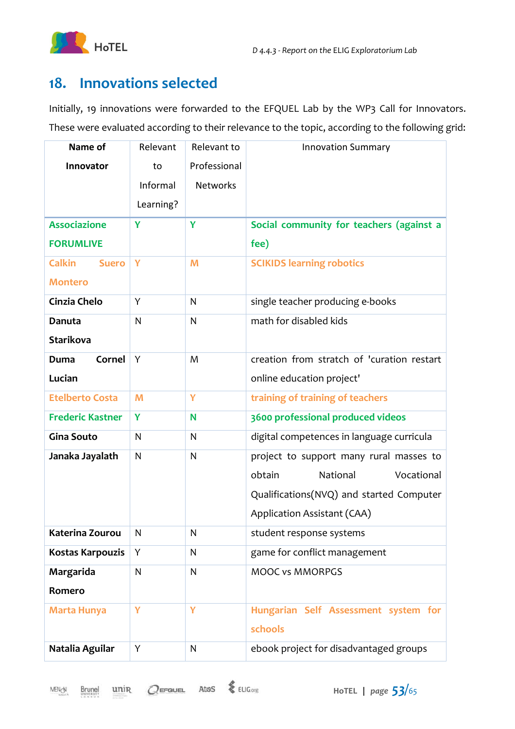

### **18. Innovations selected**

Initially, 19 innovations were forwarded to the EFQUEL Lab by the WP3 Call for Innovators. These were evaluated according to their relevance to the topic, according to the following grid:

| Name of                       | Relevant  | Relevant to     | <b>Innovation Summary</b>                  |
|-------------------------------|-----------|-----------------|--------------------------------------------|
| Innovator                     | to        | Professional    |                                            |
|                               | Informal  | <b>Networks</b> |                                            |
|                               | Learning? |                 |                                            |
| <b>Associazione</b>           | Y         | Y               | Social community for teachers (against a   |
| <b>FORUMLIVE</b>              |           |                 | fee)                                       |
| <b>Calkin</b><br><b>Suero</b> | Y         | M               | <b>SCIKIDS learning robotics</b>           |
| <b>Montero</b>                |           |                 |                                            |
| Cinzia Chelo                  | Y         | $\mathsf{N}$    | single teacher producing e-books           |
| <b>Danuta</b>                 | N         | $\mathsf{N}$    | math for disabled kids                     |
| <b>Starikova</b>              |           |                 |                                            |
| Cornel<br>Duma                | Y         | M               | creation from stratch of 'curation restart |
| Lucian                        |           |                 | online education project'                  |
| <b>Etelberto Costa</b>        | M         | Ÿ               | training of training of teachers           |
| <b>Frederic Kastner</b>       | Y         | N               | 3600 professional produced videos          |
| <b>Gina Souto</b>             | N         | $\mathsf{N}$    | digital competences in language curricula  |
| Janaka Jayalath               | N         | $\mathsf{N}$    | project to support many rural masses to    |
|                               |           |                 | obtain<br>Vocational<br>National           |
|                               |           |                 | Qualifications(NVQ) and started Computer   |
|                               |           |                 | Application Assistant (CAA)                |
| Katerina Zourou               | N         | N               | student response systems                   |
| Kostas Karpouzis              | Υ         | ${\sf N}$       | game for conflict management               |
| Margarida                     | N         | $\mathsf{N}$    | <b>MOOC vs MMORPGS</b>                     |
| Romero                        |           |                 |                                            |
| <b>Marta Hunya</b>            | Y         | Y               | Hungarian Self Assessment system for       |
|                               |           |                 | schools                                    |
| Natalia Aguilar               | Υ         | N               | ebook project for disadvantaged groups     |

**Brunel** 

unin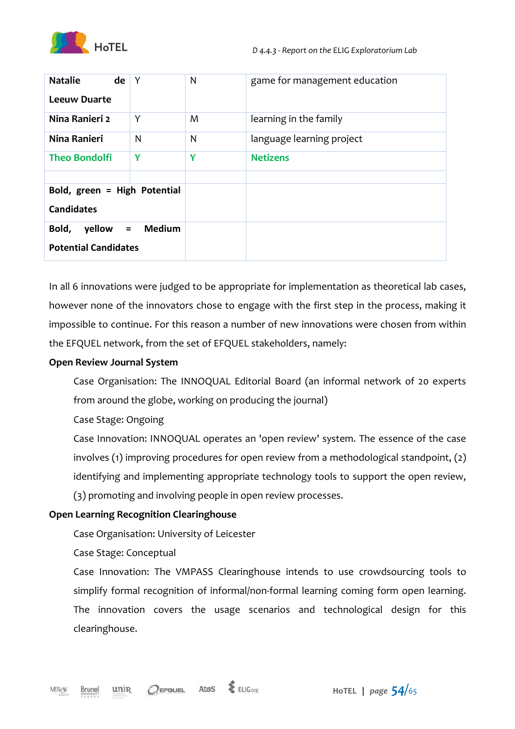

| <b>Natalie</b><br>de<br><b>Leeuw Duarte</b>        | Y             | N | game for management education |
|----------------------------------------------------|---------------|---|-------------------------------|
| Nina Ranieri 2                                     | Y             | M | learning in the family        |
| Nina Ranieri                                       | N             | N | language learning project     |
| <b>Theo Bondolfi</b>                               | Y             | Y | <b>Netizens</b>               |
|                                                    |               |   |                               |
| Bold, green = High Potential<br><b>Candidates</b>  |               |   |                               |
| Bold,<br>$yellow =$<br><b>Potential Candidates</b> | <b>Medium</b> |   |                               |

In all 6 innovations were judged to be appropriate for implementation as theoretical lab cases, however none of the innovators chose to engage with the first step in the process, making it impossible to continue. For this reason a number of new innovations were chosen from within the EFQUEL network, from the set of EFQUEL stakeholders, namely:

#### **Open Review Journal System**

Case Organisation: The INNOQUAL Editorial Board (an informal network of 20 experts from around the globe, working on producing the journal)

Case Stage: Ongoing

Case Innovation: INNOQUAL operates an 'open review' system. The essence of the case involves (1) improving procedures for open review from a methodological standpoint, (2) identifying and implementing appropriate technology tools to support the open review, (3) promoting and involving people in open review processes.

#### **Open Learning Recognition Clearinghouse**

Case Organisation: University of Leicester

Case Stage: Conceptual

Case Innovation: The VMPASS Clearinghouse intends to use crowdsourcing tools to simplify formal recognition of informal/non-formal learning coming form open learning. The innovation covers the usage scenarios and technological design for this clearinghouse.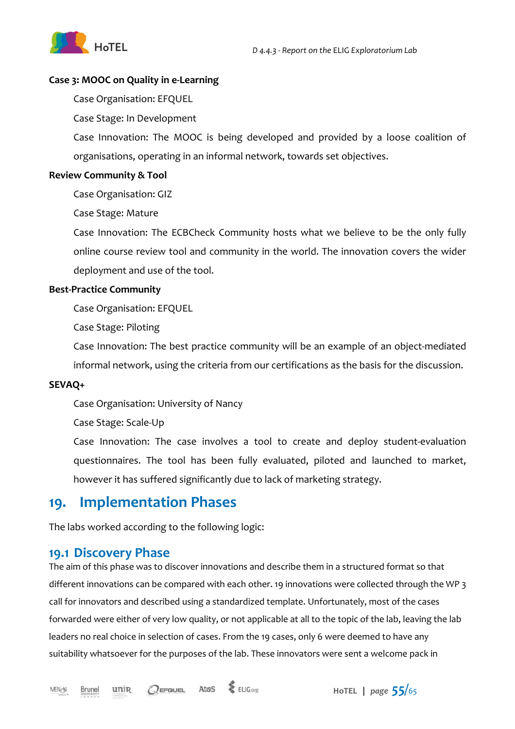

#### **Case 3: MOOC on Quality in e-Learning**

Case Organisation: EFQUEL

Case Stage: In Development

Case Innovation: The MOOC is being developed and provided by a loose coalition of organisations, operating in an informal network, towards set objectives.

#### **Review Community & Tool**

Case Organisation: GIZ

Case Stage: Mature

Case Innovation: The ECBCheck Community hosts what we believe to be the only fully online course review tool and community in the world. The innovation covers the wider deployment and use of the tool.

#### **Best-Practice Community**

Case Organisation: EFQUEL

Case Stage: Piloting

Case Innovation: The best practice community will be an example of an object-mediated

informal network, using the criteria from our certifications as the basis for the discussion.

#### **SEVAQ+**

Case Organisation: University of Nancy

Case Stage: Scale-Up

Case Innovation: The case involves a tool to create and deploy student-evaluation questionnaires. The tool has been fully evaluated, piloted and launched to market, however it has suffered significantly due to lack of marketing strategy.

### **19. Implementation Phases**

The labs worked according to the following logic:

#### **19.1 Discovery Phase**

The aim of this phase was to discover innovations and describe them in a structured format so that different innovations can be compared with each other. 19 innovations were collected through the WP 3 call for innovators and described using a standardized template. Unfortunately, most of the cases forwarded were either of very low quality, or not applicable at all to the topic of the lab, leaving the lab leaders no real choice in selection of cases. From the 19 cases, only 6 were deemed to have any suitability whatsoever for the purposes of the lab. These innovators were sent a welcome pack in

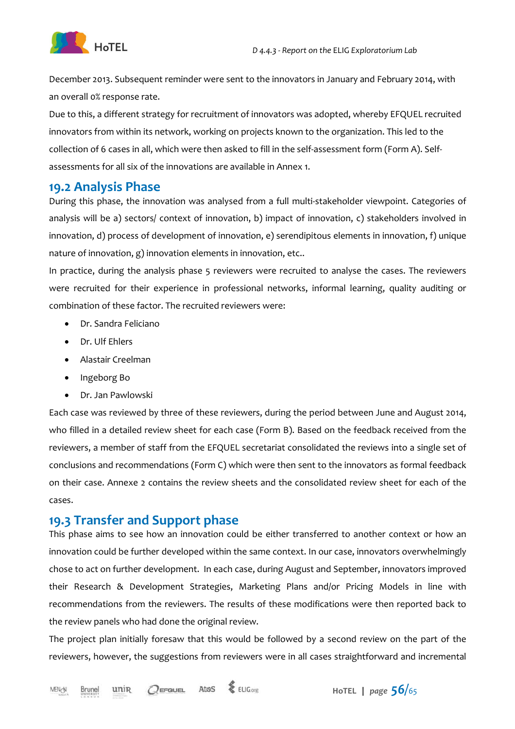

December 2013. Subsequent reminder were sent to the innovators in January and February 2014, with an overall 0% response rate.

Due to this, a different strategy for recruitment of innovators was adopted, whereby EFQUEL recruited innovators from within its network, working on projects known to the organization. This led to the collection of 6 cases in all, which were then asked to fill in the self-assessment form (Form A). Selfassessments for all six of the innovations are available in Annex 1.

#### **19.2 Analysis Phase**

During this phase, the innovation was analysed from a full multi-stakeholder viewpoint. Categories of analysis will be a) sectors/ context of innovation, b) impact of innovation, c) stakeholders involved in innovation, d) process of development of innovation, e) serendipitous elements in innovation, f) unique nature of innovation, g) innovation elements in innovation, etc..

In practice, during the analysis phase 5 reviewers were recruited to analyse the cases. The reviewers were recruited for their experience in professional networks, informal learning, quality auditing or combination of these factor. The recruited reviewers were:

- Dr. Sandra Feliciano
- Dr. Ulf Ehlers
- Alastair Creelman
- Ingeborg Bo
- Dr. Jan Pawlowski

Each case was reviewed by three of these reviewers, during the period between June and August 2014, who filled in a detailed review sheet for each case (Form B). Based on the feedback received from the reviewers, a member of staff from the EFQUEL secretariat consolidated the reviews into a single set of conclusions and recommendations (Form C) which were then sent to the innovators as formal feedback on their case. Annexe 2 contains the review sheets and the consolidated review sheet for each of the cases.

#### **19.3 Transfer and Support phase**

This phase aims to see how an innovation could be either transferred to another context or how an innovation could be further developed within the same context. In our case, innovators overwhelmingly chose to act on further development. In each case, during August and September, innovators improved their Research & Development Strategies, Marketing Plans and/or Pricing Models in line with recommendations from the reviewers. The results of these modifications were then reported back to the review panels who had done the original review.

The project plan initially foresaw that this would be followed by a second review on the part of the reviewers, however, the suggestions from reviewers were in all cases straightforward and incremental

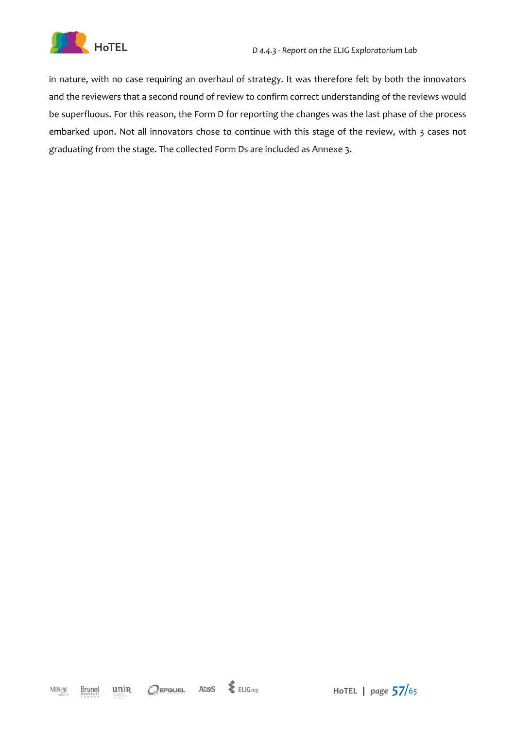

in nature, with no case requiring an overhaul of strategy. It was therefore felt by both the innovators and the reviewers that a second round of review to confirm correct understanding of the reviews would be superfluous. For this reason, the Form D for reporting the changes was the last phase of the process embarked upon. Not all innovators chose to continue with this stage of the review, with 3 cases not graduating from the stage. The collected Form Ds are included as Annexe 3.

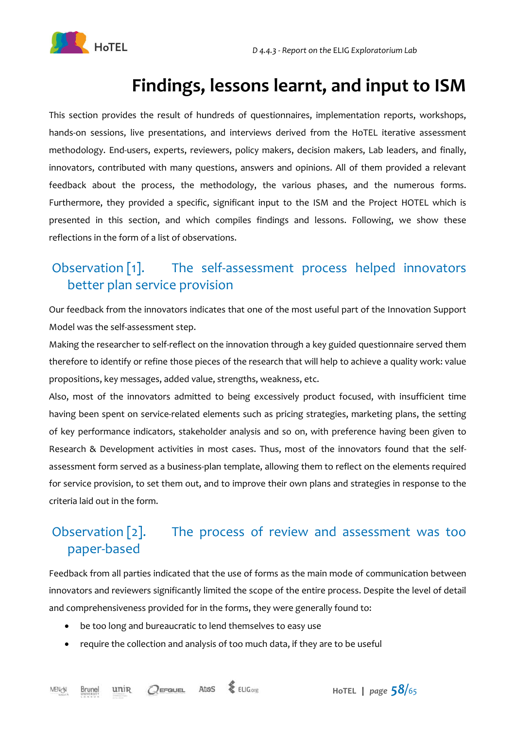

# **Findings, lessons learnt, and input to ISM**

This section provides the result of hundreds of questionnaires, implementation reports, workshops, hands-on sessions, live presentations, and interviews derived from the HoTEL iterative assessment methodology. End-users, experts, reviewers, policy makers, decision makers, Lab leaders, and finally, innovators, contributed with many questions, answers and opinions. All of them provided a relevant feedback about the process, the methodology, the various phases, and the numerous forms. Furthermore, they provided a specific, significant input to the ISM and the Project HOTEL which is presented in this section, and which compiles findings and lessons. Following, we show these reflections in the form of a list of observations.

### Observation [1]. The self-assessment process helped innovators better plan service provision

Our feedback from the innovators indicates that one of the most useful part of the Innovation Support Model was the self-assessment step.

Making the researcher to self-reflect on the innovation through a key guided questionnaire served them therefore to identify or refine those pieces of the research that will help to achieve a quality work: value propositions, key messages, added value, strengths, weakness, etc.

Also, most of the innovators admitted to being excessively product focused, with insufficient time having been spent on service-related elements such as pricing strategies, marketing plans, the setting of key performance indicators, stakeholder analysis and so on, with preference having been given to Research & Development activities in most cases. Thus, most of the innovators found that the selfassessment form served as a business-plan template, allowing them to reflect on the elements required for service provision, to set them out, and to improve their own plans and strategies in response to the criteria laid out in the form.

### Observation [2]. The process of review and assessment was too paper-based

Feedback from all parties indicated that the use of forms as the main mode of communication between innovators and reviewers significantly limited the scope of the entire process. Despite the level of detail and comprehensiveness provided for in the forms, they were generally found to:

- be too long and bureaucratic to lend themselves to easy use
- require the collection and analysis of too much data, if they are to be useful

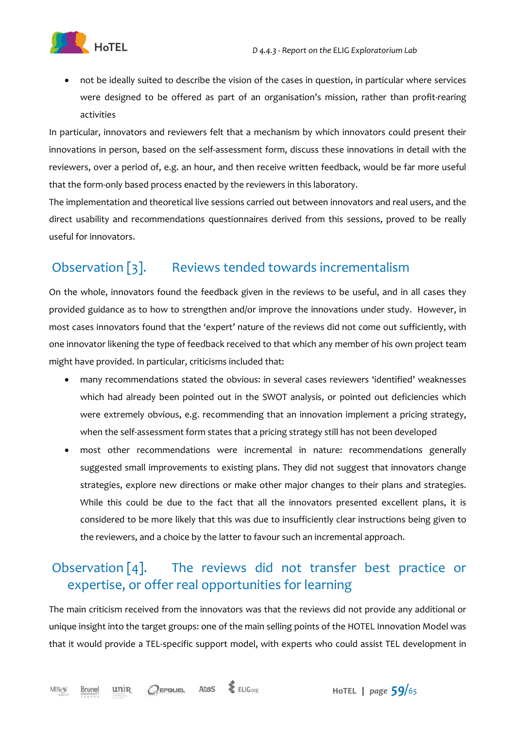

• not be ideally suited to describe the vision of the cases in question, in particular where services were designed to be offered as part of an organisation's mission, rather than profit-rearing activities

In particular, innovators and reviewers felt that a mechanism by which innovators could present their innovations in person, based on the self-assessment form, discuss these innovations in detail with the reviewers, over a period of, e.g. an hour, and then receive written feedback, would be far more useful that the form-only based process enacted by the reviewers in this laboratory.

The implementation and theoretical live sessions carried out between innovators and real users, and the direct usability and recommendations questionnaires derived from this sessions, proved to be really useful for innovators.

### Observation [3]. Reviews tended towards incrementalism

On the whole, innovators found the feedback given in the reviews to be useful, and in all cases they provided guidance as to how to strengthen and/or improve the innovations under study. However, in most cases innovators found that the 'expert' nature of the reviews did not come out sufficiently, with one innovator likening the type of feedback received to that which any member of his own project team might have provided. In particular, criticisms included that:

- many recommendations stated the obvious: in several cases reviewers 'identified' weaknesses which had already been pointed out in the SWOT analysis, or pointed out deficiencies which were extremely obvious, e.g. recommending that an innovation implement a pricing strategy, when the self-assessment form states that a pricing strategy still has not been developed
- most other recommendations were incremental in nature: recommendations generally suggested small improvements to existing plans. They did not suggest that innovators change strategies, explore new directions or make other major changes to their plans and strategies. While this could be due to the fact that all the innovators presented excellent plans, it is considered to be more likely that this was due to insufficiently clear instructions being given to the reviewers, and a choice by the latter to favour such an incremental approach.

### Observation [4]. The reviews did not transfer best practice or expertise, or offer real opportunities for learning

The main criticism received from the innovators was that the reviews did not provide any additional or unique insight into the target groups: one of the main selling points of the HOTEL Innovation Model was that it would provide a TEL-specific support model, with experts who could assist TEL development in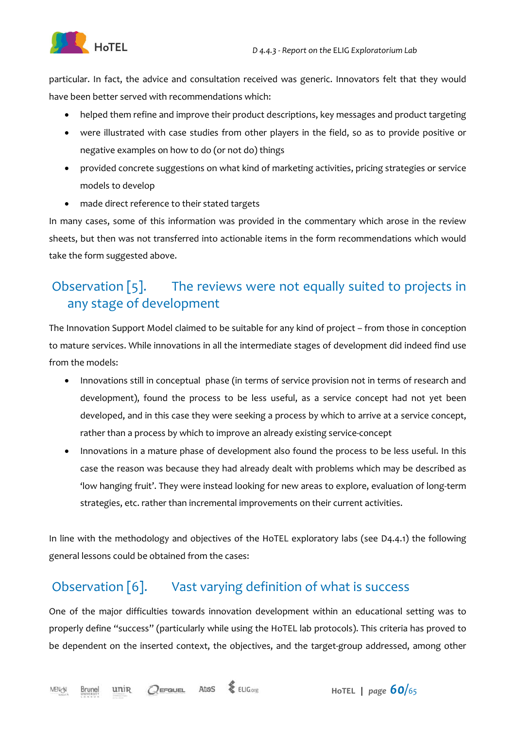

particular. In fact, the advice and consultation received was generic. Innovators felt that they would have been better served with recommendations which:

- helped them refine and improve their product descriptions, key messages and product targeting
- were illustrated with case studies from other players in the field, so as to provide positive or negative examples on how to do (or not do) things
- provided concrete suggestions on what kind of marketing activities, pricing strategies or service models to develop
- made direct reference to their stated targets

In many cases, some of this information was provided in the commentary which arose in the review sheets, but then was not transferred into actionable items in the form recommendations which would take the form suggested above.

### Observation [5]. The reviews were not equally suited to projects in any stage of development

The Innovation Support Model claimed to be suitable for any kind of project – from those in conception to mature services. While innovations in all the intermediate stages of development did indeed find use from the models:

- Innovations still in conceptual phase (in terms of service provision not in terms of research and development), found the process to be less useful, as a service concept had not yet been developed, and in this case they were seeking a process by which to arrive at a service concept, rather than a process by which to improve an already existing service-concept
- Innovations in a mature phase of development also found the process to be less useful. In this case the reason was because they had already dealt with problems which may be described as 'low hanging fruit'. They were instead looking for new areas to explore, evaluation of long-term strategies, etc. rather than incremental improvements on their current activities.

In line with the methodology and objectives of the HoTEL exploratory labs (see D4.4.1) the following general lessons could be obtained from the cases:

### Observation [6]. Vast varying definition of what is success

One of the major difficulties towards innovation development within an educational setting was to properly define "success" (particularly while using the HoTEL lab protocols). This criteria has proved to be dependent on the inserted context, the objectives, and the target-group addressed, among other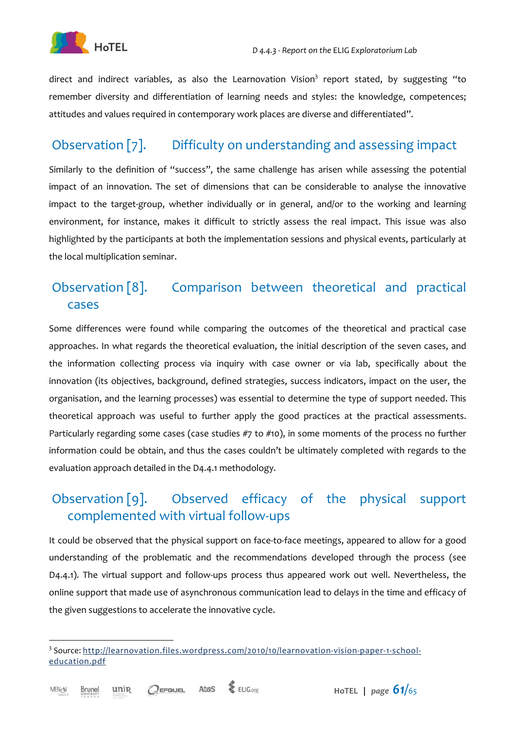

direct and indirect variables, as also the Learnovation Vision<sup>3</sup> report stated, by suggesting "to remember diversity and differentiation of learning needs and styles: the knowledge, competences; attitudes and values required in contemporary work places are diverse and differentiated".

### Observation [7]. Difficulty on understanding and assessing impact

Similarly to the definition of "success", the same challenge has arisen while assessing the potential impact of an innovation. The set of dimensions that can be considerable to analyse the innovative impact to the target-group, whether individually or in general, and/or to the working and learning environment, for instance, makes it difficult to strictly assess the real impact. This issue was also highlighted by the participants at both the implementation sessions and physical events, particularly at the local multiplication seminar.

### Observation [8]. Comparison between theoretical and practical cases

Some differences were found while comparing the outcomes of the theoretical and practical case approaches. In what regards the theoretical evaluation, the initial description of the seven cases, and the information collecting process via inquiry with case owner or via lab, specifically about the innovation (its objectives, background, defined strategies, success indicators, impact on the user, the organisation, and the learning processes) was essential to determine the type of support needed. This theoretical approach was useful to further apply the good practices at the practical assessments. Particularly regarding some cases (case studies #7 to #10), in some moments of the process no further information could be obtain, and thus the cases couldn't be ultimately completed with regards to the evaluation approach detailed in the D4.4.1 methodology.

### Observation [9]. Observed efficacy of the physical support complemented with virtual follow-ups

It could be observed that the physical support on face-to-face meetings, appeared to allow for a good understanding of the problematic and the recommendations developed through the process (see D4.4.1). The virtual support and follow-ups process thus appeared work out well. Nevertheless, the online support that made use of asynchronous communication lead to delays in the time and efficacy of the given suggestions to accelerate the innovative cycle.

 $\overline{a}$ 



<sup>&</sup>lt;sup>3</sup> Source: http://learnovation.files.wordpress.com/2010/10/learnovation-vision-paper-1-schooleducation.pdf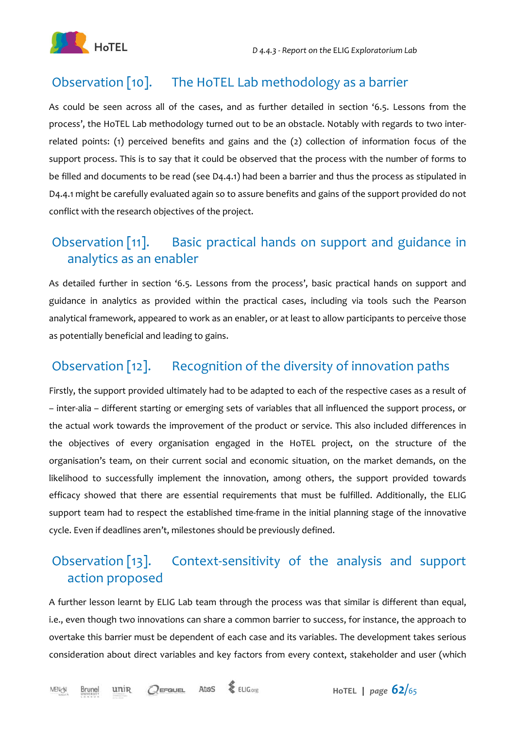### Observation [10]. The HoTEL Lab methodology as a barrier

As could be seen across all of the cases, and as further detailed in section '6.5. Lessons from the process', the HoTEL Lab methodology turned out to be an obstacle. Notably with regards to two interrelated points: (1) perceived benefits and gains and the (2) collection of information focus of the support process. This is to say that it could be observed that the process with the number of forms to be filled and documents to be read (see D4.4.1) had been a barrier and thus the process as stipulated in D4.4.1 might be carefully evaluated again so to assure benefits and gains of the support provided do not conflict with the research objectives of the project.

### Observation [11]. Basic practical hands on support and guidance in analytics as an enabler

As detailed further in section '6.5. Lessons from the process', basic practical hands on support and guidance in analytics as provided within the practical cases, including via tools such the Pearson analytical framework, appeared to work as an enabler, or at least to allow participants to perceive those as potentially beneficial and leading to gains.

### Observation [12]. Recognition of the diversity of innovation paths

Firstly, the support provided ultimately had to be adapted to each of the respective cases as a result of – inter-alia – different starting or emerging sets of variables that all influenced the support process, or the actual work towards the improvement of the product or service. This also included differences in the objectives of every organisation engaged in the HoTEL project, on the structure of the organisation's team, on their current social and economic situation, on the market demands, on the likelihood to successfully implement the innovation, among others, the support provided towards efficacy showed that there are essential requirements that must be fulfilled. Additionally, the ELIG support team had to respect the established time-frame in the initial planning stage of the innovative cycle. Even if deadlines aren't, milestones should be previously defined.

### Observation [13]. Context-sensitivity of the analysis and support action proposed

A further lesson learnt by ELIG Lab team through the process was that similar is different than equal, i.e., even though two innovations can share a common barrier to success, for instance, the approach to overtake this barrier must be dependent of each case and its variables. The development takes serious consideration about direct variables and key factors from every context, stakeholder and user (which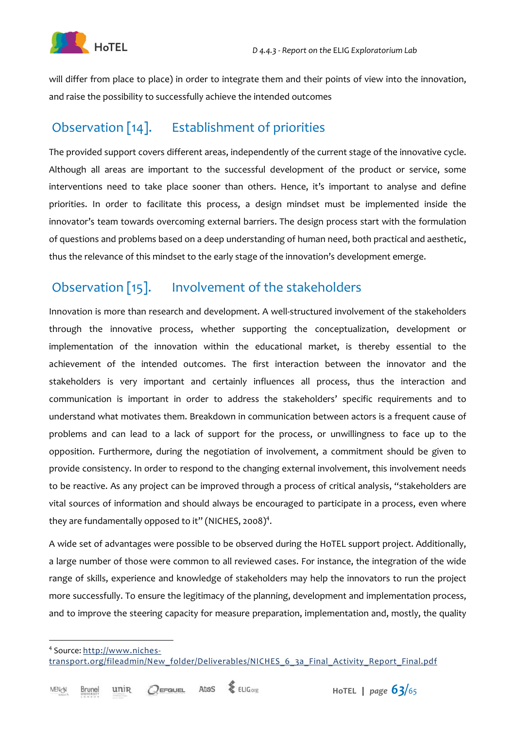

will differ from place to place) in order to integrate them and their points of view into the innovation, and raise the possibility to successfully achieve the intended outcomes

### Observation [14]. Establishment of priorities

The provided support covers different areas, independently of the current stage of the innovative cycle. Although all areas are important to the successful development of the product or service, some interventions need to take place sooner than others. Hence, it's important to analyse and define priorities. In order to facilitate this process, a design mindset must be implemented inside the innovator's team towards overcoming external barriers. The design process start with the formulation of questions and problems based on a deep understanding of human need, both practical and aesthetic, thus the relevance of this mindset to the early stage of the innovation's development emerge.

### Observation [15]. Involvement of the stakeholders

Innovation is more than research and development. A well-structured involvement of the stakeholders through the innovative process, whether supporting the conceptualization, development or implementation of the innovation within the educational market, is thereby essential to the achievement of the intended outcomes. The first interaction between the innovator and the stakeholders is very important and certainly influences all process, thus the interaction and communication is important in order to address the stakeholders' specific requirements and to understand what motivates them. Breakdown in communication between actors is a frequent cause of problems and can lead to a lack of support for the process, or unwillingness to face up to the opposition. Furthermore, during the negotiation of involvement, a commitment should be given to provide consistency. In order to respond to the changing external involvement, this involvement needs to be reactive. As any project can be improved through a process of critical analysis, "stakeholders are vital sources of information and should always be encouraged to participate in a process, even where they are fundamentally opposed to it" (NICHES, 2008)<sup>4</sup>.

A wide set of advantages were possible to be observed during the HoTEL support project. Additionally, a large number of those were common to all reviewed cases. For instance, the integration of the wide range of skills, experience and knowledge of stakeholders may help the innovators to run the project more successfully. To ensure the legitimacy of the planning, development and implementation process, and to improve the steering capacity for measure preparation, implementation and, mostly, the quality

 $\overline{a}$ 



<sup>&</sup>lt;sup>4</sup> Source: http://www.nichestransport.org/fileadmin/New\_folder/Deliverables/NICHES\_6\_3a\_Final\_Activity\_Report\_Final.pdf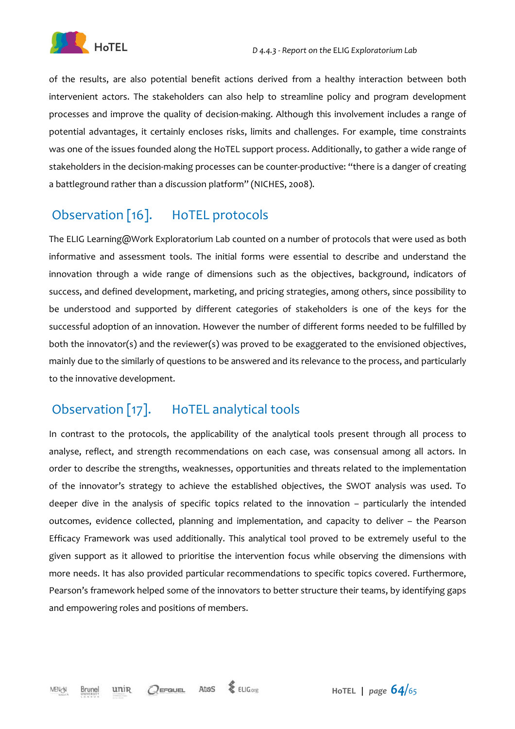

of the results, are also potential benefit actions derived from a healthy interaction between both intervenient actors. The stakeholders can also help to streamline policy and program development processes and improve the quality of decision-making. Although this involvement includes a range of potential advantages, it certainly encloses risks, limits and challenges. For example, time constraints was one of the issues founded along the HoTEL support process. Additionally, to gather a wide range of stakeholders in the decision-making processes can be counter-productive: "there is a danger of creating a battleground rather than a discussion platform" (NICHES, 2008).

### Observation [16]. HoTEL protocols

The ELIG Learning@Work Exploratorium Lab counted on a number of protocols that were used as both informative and assessment tools. The initial forms were essential to describe and understand the innovation through a wide range of dimensions such as the objectives, background, indicators of success, and defined development, marketing, and pricing strategies, among others, since possibility to be understood and supported by different categories of stakeholders is one of the keys for the successful adoption of an innovation. However the number of different forms needed to be fulfilled by both the innovator(s) and the reviewer(s) was proved to be exaggerated to the envisioned objectives, mainly due to the similarly of questions to be answered and its relevance to the process, and particularly to the innovative development.

### Observation [17]. HoTEL analytical tools

In contrast to the protocols, the applicability of the analytical tools present through all process to analyse, reflect, and strength recommendations on each case, was consensual among all actors. In order to describe the strengths, weaknesses, opportunities and threats related to the implementation of the innovator's strategy to achieve the established objectives, the SWOT analysis was used. To deeper dive in the analysis of specific topics related to the innovation – particularly the intended outcomes, evidence collected, planning and implementation, and capacity to deliver – the Pearson Efficacy Framework was used additionally. This analytical tool proved to be extremely useful to the given support as it allowed to prioritise the intervention focus while observing the dimensions with more needs. It has also provided particular recommendations to specific topics covered. Furthermore, Pearson's framework helped some of the innovators to better structure their teams, by identifying gaps and empowering roles and positions of members.